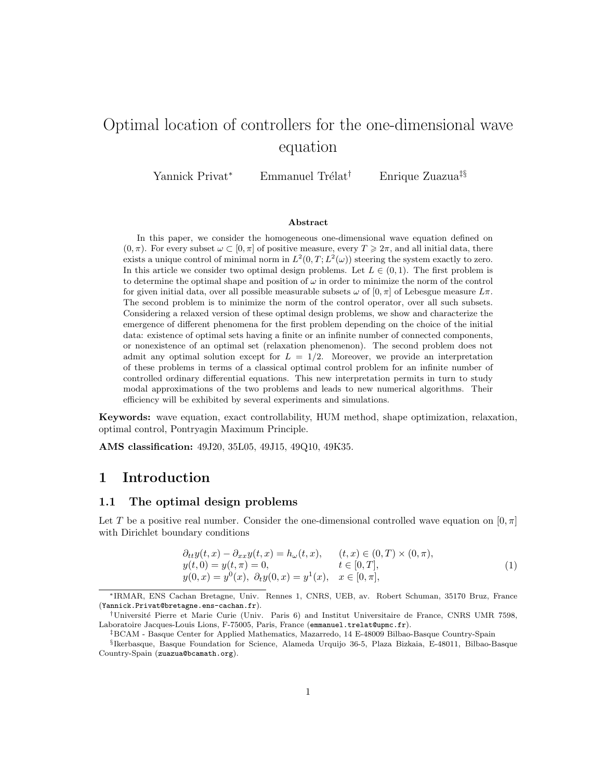# Optimal location of controllers for the one-dimensional wave equation

Yannick Privat<sup>∗</sup> Emmanuel Trélat<sup>†</sup> Enrique Zuazua<sup>‡§</sup>

#### Abstract

In this paper, we consider the homogeneous one-dimensional wave equation defined on  $(0, \pi)$ . For every subset  $\omega \subset [0, \pi]$  of positive measure, every  $T \geq 2\pi$ , and all initial data, there exists a unique control of minimal norm in  $L^2(0,T;L^2(\omega))$  steering the system exactly to zero. In this article we consider two optimal design problems. Let  $L \in (0,1)$ . The first problem is to determine the optimal shape and position of  $\omega$  in order to minimize the norm of the control for given initial data, over all possible measurable subsets  $\omega$  of  $[0, \pi]$  of Lebesgue measure  $L\pi$ . The second problem is to minimize the norm of the control operator, over all such subsets. Considering a relaxed version of these optimal design problems, we show and characterize the emergence of different phenomena for the first problem depending on the choice of the initial data: existence of optimal sets having a finite or an infinite number of connected components, or nonexistence of an optimal set (relaxation phenomenon). The second problem does not admit any optimal solution except for  $L = 1/2$ . Moreover, we provide an interpretation of these problems in terms of a classical optimal control problem for an infinite number of controlled ordinary differential equations. This new interpretation permits in turn to study modal approximations of the two problems and leads to new numerical algorithms. Their efficiency will be exhibited by several experiments and simulations.

Keywords: wave equation, exact controllability, HUM method, shape optimization, relaxation, optimal control, Pontryagin Maximum Principle.

AMS classification: 49J20, 35L05, 49J15, 49Q10, 49K35.

# 1 Introduction

### 1.1 The optimal design problems

Let T be a positive real number. Consider the one-dimensional controlled wave equation on  $[0, \pi]$ with Dirichlet boundary conditions

$$
\partial_{tt}y(t,x) - \partial_{xx}y(t,x) = h_{\omega}(t,x), \qquad (t,x) \in (0,T) \times (0,\pi), \ny(t,0) = y(t,\pi) = 0, \qquad t \in [0,T], \ny(0,x) = y^{0}(x), \ \partial_{t}y(0,x) = y^{1}(x), \quad x \in [0,\pi],
$$
\n(1)

<sup>∗</sup>IRMAR, ENS Cachan Bretagne, Univ. Rennes 1, CNRS, UEB, av. Robert Schuman, 35170 Bruz, France (Yannick.Privat@bretagne.ens-cachan.fr).

<sup>†</sup>Universit´e Pierre et Marie Curie (Univ. Paris 6) and Institut Universitaire de France, CNRS UMR 7598, Laboratoire Jacques-Louis Lions, F-75005, Paris, France (emmanuel.trelat@upmc.fr).

<sup>‡</sup>BCAM - Basque Center for Applied Mathematics, Mazarredo, 14 E-48009 Bilbao-Basque Country-Spain

<sup>§</sup> Ikerbasque, Basque Foundation for Science, Alameda Urquijo 36-5, Plaza Bizkaia, E-48011, Bilbao-Basque Country-Spain (zuazua@bcamath.org).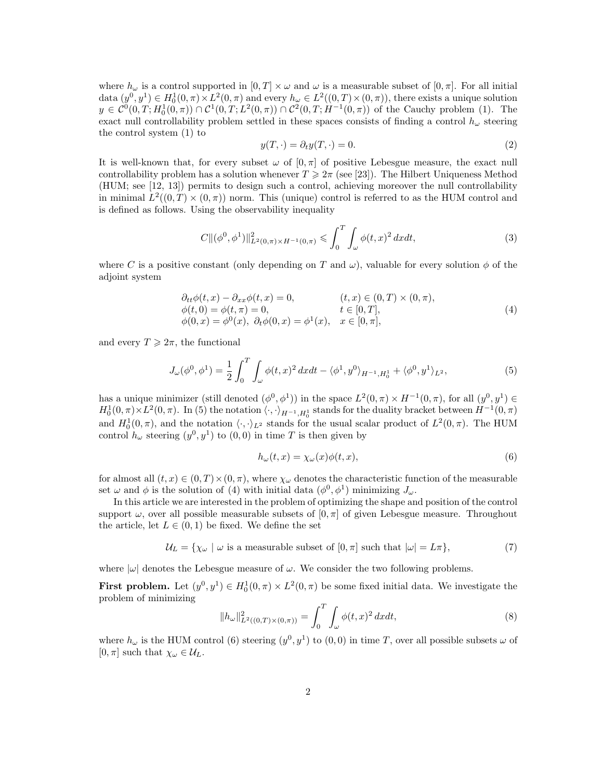where  $h_{\omega}$  is a control supported in  $[0, T] \times \omega$  and  $\omega$  is a measurable subset of  $[0, \pi]$ . For all initial data  $(y^0, y^1) \in H_0^1(0, \pi) \times L^2(0, \pi)$  and every  $h_\omega \in L^2((0, T) \times (0, \pi))$ , there exists a unique solution  $y \in C^0(0,T; H_0^1(0,\pi)) \cap C^1(0,T; L^2(0,\pi)) \cap C^2(0,T; H^{-1}(0,\pi))$  of the Cauchy problem (1). The exact null controllability problem settled in these spaces consists of finding a control  $h_{\omega}$  steering the control system (1) to

$$
y(T, \cdot) = \partial_t y(T, \cdot) = 0.
$$
\n<sup>(2)</sup>

It is well-known that, for every subset  $\omega$  of  $[0, \pi]$  of positive Lebesgue measure, the exact null controllability problem has a solution whenever  $T \geq 2\pi$  (see [23]). The Hilbert Uniqueness Method (HUM; see [12, 13]) permits to design such a control, achieving moreover the null controllability in minimal  $L^2((0,T) \times (0,\pi))$  norm. This (unique) control is referred to as the HUM control and is defined as follows. Using the observability inequality

$$
C\|(\phi^0, \phi^1)\|_{L^2(0,\pi)\times H^{-1}(0,\pi)}^2 \leq \int_0^T \int_\omega \phi(t,x)^2 \, dxdt,\tag{3}
$$

where C is a positive constant (only depending on T and  $\omega$ ), valuable for every solution  $\phi$  of the adjoint system

$$
\begin{aligned}\n\partial_{tt}\phi(t,x) - \partial_{xx}\phi(t,x) &= 0, & (t,x) &\in (0,T) \times (0,\pi), \\
\phi(t,0) &= \phi(t,\pi) = 0, & t &\in [0,T], \\
\phi(0,x) &= \phi^0(x), & \partial_t\phi(0,x) = \phi^1(x), & x &\in [0,\pi],\n\end{aligned} \tag{4}
$$

and every  $T \geq 2\pi$ , the functional

$$
J_{\omega}(\phi^0, \phi^1) = \frac{1}{2} \int_0^T \int_{\omega} \phi(t, x)^2 dx dt - \langle \phi^1, y^0 \rangle_{H^{-1}, H_0^1} + \langle \phi^0, y^1 \rangle_{L^2},
$$
 (5)

has a unique minimizer (still denoted  $(\phi^0, \phi^1)$ ) in the space  $L^2(0, \pi) \times H^{-1}(0, \pi)$ , for all  $(y^0, y^1) \in$  $H_0^1(0,\pi) \times L^2(0,\pi)$ . In (5) the notation  $\langle \cdot, \cdot \rangle_{H^{-1}, H_0^1}$  stands for the duality bracket between  $H^{-1}(0,\pi)$ and  $H_0^1(0,\pi)$ , and the notation  $\langle \cdot, \cdot \rangle_{L^2}$  stands for the usual scalar product of  $L^2(0,\pi)$ . The HUM control  $h_{\omega}$  steering  $(y^0, y^1)$  to  $(0, 0)$  in time T is then given by

$$
h_{\omega}(t,x) = \chi_{\omega}(x)\phi(t,x),\tag{6}
$$

for almost all  $(t, x) \in (0, T) \times (0, \pi)$ , where  $\chi_{\omega}$  denotes the characteristic function of the measurable set  $\omega$  and  $\phi$  is the solution of (4) with initial data  $(\phi^0, \phi^1)$  minimizing  $J_{\omega}$ .

In this article we are interested in the problem of optimizing the shape and position of the control support  $\omega$ , over all possible measurable subsets of  $[0, \pi]$  of given Lebesgue measure. Throughout the article, let  $L \in (0,1)$  be fixed. We define the set

$$
\mathcal{U}_L = \{ \chi_\omega \mid \omega \text{ is a measurable subset of } [0, \pi] \text{ such that } |\omega| = L\pi \},\tag{7}
$$

where  $|\omega|$  denotes the Lebesgue measure of  $\omega$ . We consider the two following problems.

**First problem.** Let  $(y^0, y^1) \in H_0^1(0, \pi) \times L^2(0, \pi)$  be some fixed initial data. We investigate the problem of minimizing

$$
||h_{\omega}||_{L^{2}((0,T)\times(0,\pi))}^{2} = \int_{0}^{T} \int_{\omega} \phi(t,x)^{2} dxdt,
$$
\n(8)

where  $h_{\omega}$  is the HUM control (6) steering  $(y^0, y^1)$  to  $(0, 0)$  in time T, over all possible subsets  $\omega$  of  $[0, \pi]$  such that  $\chi_{\omega} \in \mathcal{U}_L$ .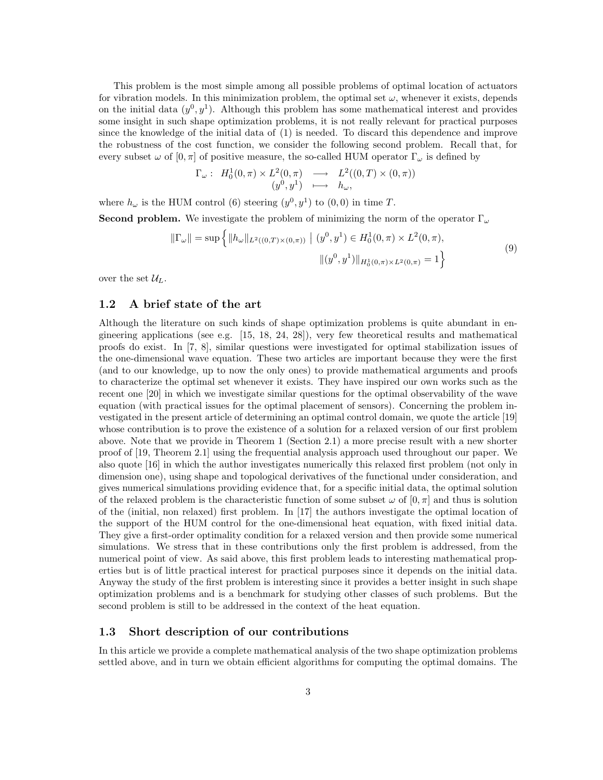This problem is the most simple among all possible problems of optimal location of actuators for vibration models. In this minimization problem, the optimal set  $\omega$ , whenever it exists, depends on the initial data  $(y^0, y^1)$ . Although this problem has some mathematical interest and provides some insight in such shape optimization problems, it is not really relevant for practical purposes since the knowledge of the initial data of (1) is needed. To discard this dependence and improve the robustness of the cost function, we consider the following second problem. Recall that, for every subset  $\omega$  of  $[0, \pi]$  of positive measure, the so-called HUM operator  $\Gamma_{\omega}$  is defined by

$$
\Gamma_{\omega}: H_0^1(0,\pi) \times L^2(0,\pi) \longrightarrow L^2((0,T) \times (0,\pi))
$$
  

$$
(y^0, y^1) \longmapsto h_{\omega},
$$

where  $h_{\omega}$  is the HUM control (6) steering  $(y^0, y^1)$  to  $(0, 0)$  in time T.

**Second problem.** We investigate the problem of minimizing the norm of the operator  $\Gamma_{\omega}$ 

$$
\|\Gamma_{\omega}\| = \sup \left\{ \|h_{\omega}\|_{L^2((0,T)\times(0,\pi))} \mid (y^0, y^1) \in H_0^1(0,\pi) \times L^2(0,\pi), \right\}
$$
  

$$
\|(y^0, y^1)\|_{H_0^1(0,\pi) \times L^2(0,\pi)} = 1 \right\}
$$
 (9)

over the set  $\mathcal{U}_L$ .

### 1.2 A brief state of the art

Although the literature on such kinds of shape optimization problems is quite abundant in engineering applications (see e.g.  $[15, 18, 24, 28]$ ), very few theoretical results and mathematical proofs do exist. In [7, 8], similar questions were investigated for optimal stabilization issues of the one-dimensional wave equation. These two articles are important because they were the first (and to our knowledge, up to now the only ones) to provide mathematical arguments and proofs to characterize the optimal set whenever it exists. They have inspired our own works such as the recent one [20] in which we investigate similar questions for the optimal observability of the wave equation (with practical issues for the optimal placement of sensors). Concerning the problem investigated in the present article of determining an optimal control domain, we quote the article [19] whose contribution is to prove the existence of a solution for a relaxed version of our first problem above. Note that we provide in Theorem 1 (Section 2.1) a more precise result with a new shorter proof of [19, Theorem 2.1] using the frequential analysis approach used throughout our paper. We also quote [16] in which the author investigates numerically this relaxed first problem (not only in dimension one), using shape and topological derivatives of the functional under consideration, and gives numerical simulations providing evidence that, for a specific initial data, the optimal solution of the relaxed problem is the characteristic function of some subset  $\omega$  of  $[0, \pi]$  and thus is solution of the (initial, non relaxed) first problem. In [17] the authors investigate the optimal location of the support of the HUM control for the one-dimensional heat equation, with fixed initial data. They give a first-order optimality condition for a relaxed version and then provide some numerical simulations. We stress that in these contributions only the first problem is addressed, from the numerical point of view. As said above, this first problem leads to interesting mathematical properties but is of little practical interest for practical purposes since it depends on the initial data. Anyway the study of the first problem is interesting since it provides a better insight in such shape optimization problems and is a benchmark for studying other classes of such problems. But the second problem is still to be addressed in the context of the heat equation.

#### 1.3 Short description of our contributions

In this article we provide a complete mathematical analysis of the two shape optimization problems settled above, and in turn we obtain efficient algorithms for computing the optimal domains. The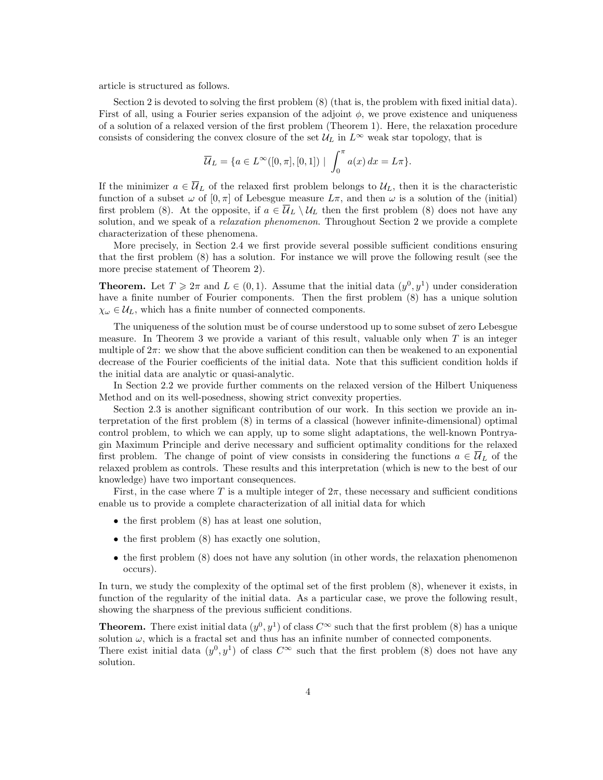article is structured as follows.

Section 2 is devoted to solving the first problem (8) (that is, the problem with fixed initial data). First of all, using a Fourier series expansion of the adjoint  $\phi$ , we prove existence and uniqueness of a solution of a relaxed version of the first problem (Theorem 1). Here, the relaxation procedure consists of considering the convex closure of the set  $\mathcal{U}_L$  in  $L^{\infty}$  weak star topology, that is

$$
\overline{\mathcal{U}}_L = \{ a \in L^{\infty}([0, \pi], [0, 1]) \mid \int_0^{\pi} a(x) dx = L\pi \}.
$$

If the minimizer  $a \in \overline{U}_L$  of the relaxed first problem belongs to  $U_L$ , then it is the characteristic function of a subset  $\omega$  of  $[0, \pi]$  of Lebesgue measure  $L\pi$ , and then  $\omega$  is a solution of the (initial) first problem (8). At the opposite, if  $a \in \overline{\mathcal{U}}_L \setminus \mathcal{U}_L$  then the first problem (8) does not have any solution, and we speak of a *relaxation phenomenon*. Throughout Section 2 we provide a complete characterization of these phenomena.

More precisely, in Section 2.4 we first provide several possible sufficient conditions ensuring that the first problem (8) has a solution. For instance we will prove the following result (see the more precise statement of Theorem 2).

**Theorem.** Let  $T \geq 2\pi$  and  $L \in (0,1)$ . Assume that the initial data  $(y^0, y^1)$  under consideration have a finite number of Fourier components. Then the first problem (8) has a unique solution  $\chi_{\omega} \in \mathcal{U}_L$ , which has a finite number of connected components.

The uniqueness of the solution must be of course understood up to some subset of zero Lebesgue measure. In Theorem 3 we provide a variant of this result, valuable only when  $T$  is an integer multiple of  $2\pi$ : we show that the above sufficient condition can then be weakened to an exponential decrease of the Fourier coefficients of the initial data. Note that this sufficient condition holds if the initial data are analytic or quasi-analytic.

In Section 2.2 we provide further comments on the relaxed version of the Hilbert Uniqueness Method and on its well-posedness, showing strict convexity properties.

Section 2.3 is another significant contribution of our work. In this section we provide an interpretation of the first problem (8) in terms of a classical (however infinite-dimensional) optimal control problem, to which we can apply, up to some slight adaptations, the well-known Pontryagin Maximum Principle and derive necessary and sufficient optimality conditions for the relaxed first problem. The change of point of view consists in considering the functions  $a \in \overline{U}_L$  of the relaxed problem as controls. These results and this interpretation (which is new to the best of our knowledge) have two important consequences.

First, in the case where T is a multiple integer of  $2\pi$ , these necessary and sufficient conditions enable us to provide a complete characterization of all initial data for which

- the first problem  $(8)$  has at least one solution,
- the first problem  $(8)$  has exactly one solution,
- the first problem (8) does not have any solution (in other words, the relaxation phenomenon occurs).

In turn, we study the complexity of the optimal set of the first problem (8), whenever it exists, in function of the regularity of the initial data. As a particular case, we prove the following result, showing the sharpness of the previous sufficient conditions.

**Theorem.** There exist initial data  $(y^0, y^1)$  of class  $C^{\infty}$  such that the first problem (8) has a unique solution  $\omega$ , which is a fractal set and thus has an infinite number of connected components. There exist initial data  $(y^0, y^1)$  of class  $C^{\infty}$  such that the first problem (8) does not have any solution.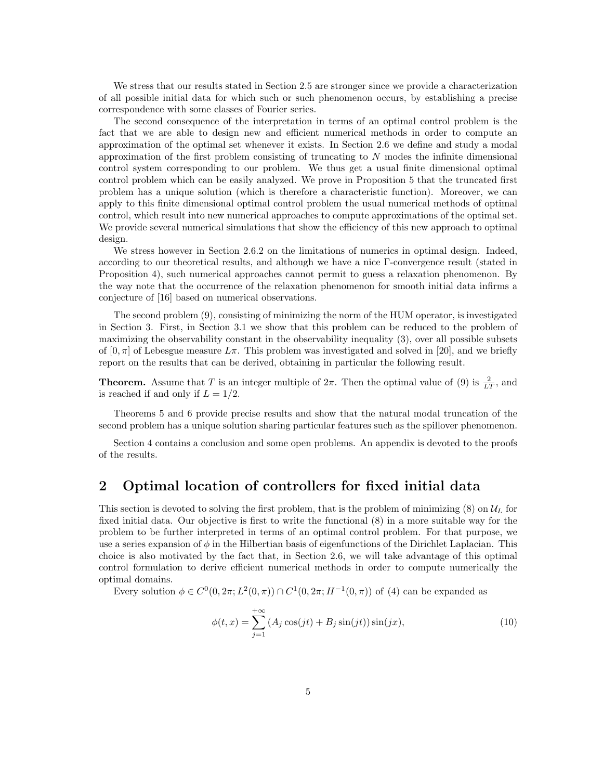We stress that our results stated in Section 2.5 are stronger since we provide a characterization of all possible initial data for which such or such phenomenon occurs, by establishing a precise correspondence with some classes of Fourier series.

The second consequence of the interpretation in terms of an optimal control problem is the fact that we are able to design new and efficient numerical methods in order to compute an approximation of the optimal set whenever it exists. In Section 2.6 we define and study a modal approximation of the first problem consisting of truncating to  $N$  modes the infinite dimensional control system corresponding to our problem. We thus get a usual finite dimensional optimal control problem which can be easily analyzed. We prove in Proposition 5 that the truncated first problem has a unique solution (which is therefore a characteristic function). Moreover, we can apply to this finite dimensional optimal control problem the usual numerical methods of optimal control, which result into new numerical approaches to compute approximations of the optimal set. We provide several numerical simulations that show the efficiency of this new approach to optimal design.

We stress however in Section 2.6.2 on the limitations of numerics in optimal design. Indeed, according to our theoretical results, and although we have a nice Γ-convergence result (stated in Proposition 4), such numerical approaches cannot permit to guess a relaxation phenomenon. By the way note that the occurrence of the relaxation phenomenon for smooth initial data infirms a conjecture of [16] based on numerical observations.

The second problem (9), consisting of minimizing the norm of the HUM operator, is investigated in Section 3. First, in Section 3.1 we show that this problem can be reduced to the problem of maximizing the observability constant in the observability inequality (3), over all possible subsets of  $[0, \pi]$  of Lebesgue measure  $L\pi$ . This problem was investigated and solved in [20], and we briefly report on the results that can be derived, obtaining in particular the following result.

**Theorem.** Assume that T is an integer multiple of  $2\pi$ . Then the optimal value of (9) is  $\frac{2}{LT}$ , and is reached if and only if  $L = 1/2$ .

Theorems 5 and 6 provide precise results and show that the natural modal truncation of the second problem has a unique solution sharing particular features such as the spillover phenomenon.

Section 4 contains a conclusion and some open problems. An appendix is devoted to the proofs of the results.

# 2 Optimal location of controllers for fixed initial data

This section is devoted to solving the first problem, that is the problem of minimizing  $(8)$  on  $\mathcal{U}_L$  for fixed initial data. Our objective is first to write the functional (8) in a more suitable way for the problem to be further interpreted in terms of an optimal control problem. For that purpose, we use a series expansion of  $\phi$  in the Hilbertian basis of eigenfunctions of the Dirichlet Laplacian. This choice is also motivated by the fact that, in Section 2.6, we will take advantage of this optimal control formulation to derive efficient numerical methods in order to compute numerically the optimal domains.

Every solution  $\phi \in C^0(0, 2\pi; L^2(0, \pi)) \cap C^1(0, 2\pi; H^{-1}(0, \pi))$  of (4) can be expanded as

$$
\phi(t,x) = \sum_{j=1}^{+\infty} (A_j \cos(jt) + B_j \sin(jt)) \sin(jx),
$$
\n(10)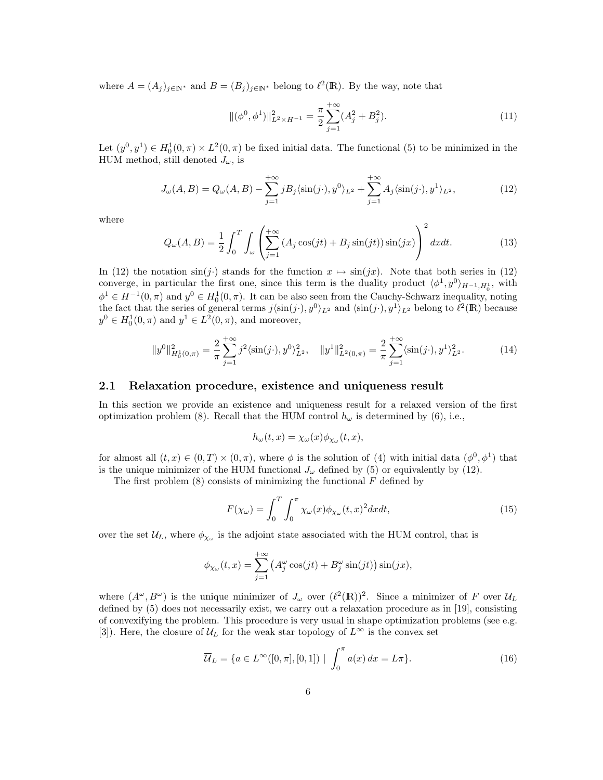where  $A = (A_j)_{j \in \mathbb{N}^*}$  and  $B = (B_j)_{j \in \mathbb{N}^*}$  belong to  $\ell^2(\mathbb{R})$ . By the way, note that

$$
\|(\phi^0, \phi^1)\|_{L^2 \times H^{-1}}^2 = \frac{\pi}{2} \sum_{j=1}^{+\infty} (A_j^2 + B_j^2). \tag{11}
$$

Let  $(y^0, y^1) \in H_0^1(0, \pi) \times L^2(0, \pi)$  be fixed initial data. The functional (5) to be minimized in the HUM method, still denoted  $J_{\omega}$ , is

$$
J_{\omega}(A,B) = Q_{\omega}(A,B) - \sum_{j=1}^{+\infty} jB_j \langle \sin(j\cdot), y^0 \rangle_{L^2} + \sum_{j=1}^{+\infty} A_j \langle \sin(j\cdot), y^1 \rangle_{L^2},\tag{12}
$$

where

$$
Q_{\omega}(A,B) = \frac{1}{2} \int_0^T \int_{\omega} \left( \sum_{j=1}^{+\infty} \left( A_j \cos(jt) + B_j \sin(jt) \right) \sin(jx) \right)^2 dx dt.
$$
 (13)

In (12) the notation  $\sin(j)$  stands for the function  $x \mapsto \sin(jx)$ . Note that both series in (12) converge, in particular the first one, since this term is the duality product  $\langle \phi^1, y^0 \rangle_{H^{-1}, H_0^1}$ , with  $\phi^1 \in H^{-1}(0, \pi)$  and  $y^0 \in H_0^1(0, \pi)$ . It can be also seen from the Cauchy-Schwarz inequality, noting the fact that the series of general terms  $j\langle\sin(j\cdot), y^0\rangle_{L^2}$  and  $\langle\sin(j\cdot), y^1\rangle_{L^2}$  belong to  $\ell^2(\mathbb{R})$  because  $y^0 \in H_0^1(0, \pi)$  and  $y^1 \in L^2(0, \pi)$ , and moreover,

$$
||y^{0}||_{H_{0}^{1}(0,\pi)}^{2} = \frac{2}{\pi} \sum_{j=1}^{+\infty} j^{2} \langle \sin(j\cdot), y^{0} \rangle_{L^{2}}^{2}, \quad ||y^{1}||_{L^{2}(0,\pi)}^{2} = \frac{2}{\pi} \sum_{j=1}^{+\infty} \langle \sin(j\cdot), y^{1} \rangle_{L^{2}}^{2}.
$$
 (14)

### 2.1 Relaxation procedure, existence and uniqueness result

In this section we provide an existence and uniqueness result for a relaxed version of the first optimization problem (8). Recall that the HUM control  $h_{\omega}$  is determined by (6), i.e.,

$$
h_{\omega}(t,x) = \chi_{\omega}(x)\phi_{\chi_{\omega}}(t,x),
$$

for almost all  $(t, x) \in (0, T) \times (0, \pi)$ , where  $\phi$  is the solution of (4) with initial data  $(\phi^0, \phi^1)$  that is the unique minimizer of the HUM functional  $J_{\omega}$  defined by (5) or equivalently by (12).

The first problem  $(8)$  consists of minimizing the functional  $F$  defined by

$$
F(\chi_{\omega}) = \int_0^T \int_0^{\pi} \chi_{\omega}(x) \phi_{\chi_{\omega}}(t, x)^2 dx dt,
$$
\n(15)

over the set  $\mathcal{U}_L$ , where  $\phi_{\chi_\omega}$  is the adjoint state associated with the HUM control, that is

$$
\phi_{\chi_{\omega}}(t,x) = \sum_{j=1}^{+\infty} \left( A_j^{\omega} \cos(jt) + B_j^{\omega} \sin(jt) \right) \sin(jx),
$$

where  $(A^{\omega}, B^{\omega})$  is the unique minimizer of  $J_{\omega}$  over  $({{\ell}^{2}(\mathbb{R})})^{2}$ . Since a minimizer of F over  $\mathcal{U}_{L}$ defined by (5) does not necessarily exist, we carry out a relaxation procedure as in [19], consisting of convexifying the problem. This procedure is very usual in shape optimization problems (see e.g. [3]). Here, the closure of  $\mathcal{U}_L$  for the weak star topology of  $L^{\infty}$  is the convex set

$$
\overline{U}_L = \{ a \in L^{\infty}([0, \pi], [0, 1]) \mid \int_0^{\pi} a(x) dx = L\pi \}.
$$
 (16)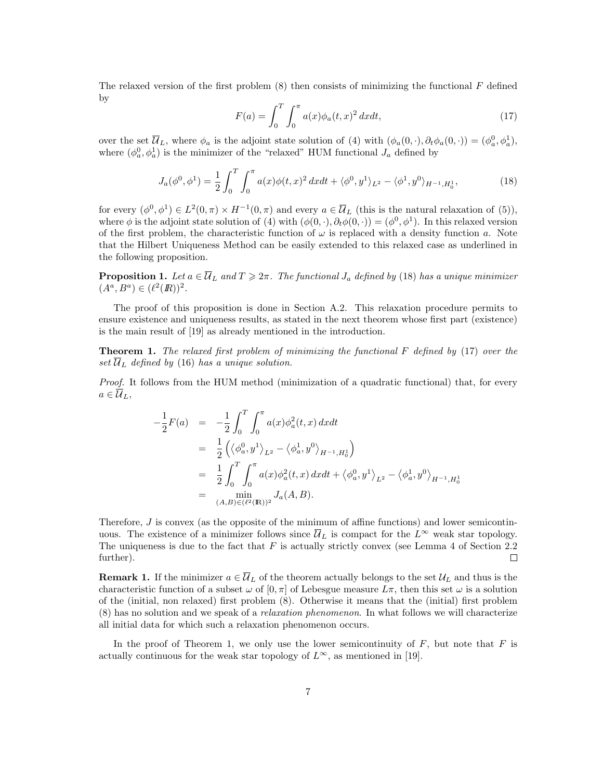The relaxed version of the first problem  $(8)$  then consists of minimizing the functional  $F$  defined by

$$
F(a) = \int_0^T \int_0^{\pi} a(x) \phi_a(t, x)^2 dx dt,
$$
 (17)

over the set  $\overline{\mathcal{U}}_L$ , where  $\phi_a$  is the adjoint state solution of (4) with  $(\phi_a(0, \cdot), \partial_t \phi_a(0, \cdot)) = (\phi_a^0, \phi_a^1)$ , where  $(\phi_a^0, \phi_a^1)$  is the minimizer of the "relaxed" HUM functional  $J_a$  defined by

$$
J_a(\phi^0, \phi^1) = \frac{1}{2} \int_0^T \int_0^{\pi} a(x) \phi(t, x)^2 dx dt + \langle \phi^0, y^1 \rangle_{L^2} - \langle \phi^1, y^0 \rangle_{H^{-1}, H_0^1}, \tag{18}
$$

for every  $(\phi^0, \phi^1) \in L^2(0, \pi) \times H^{-1}(0, \pi)$  and every  $a \in \overline{\mathcal{U}}_L$  (this is the natural relaxation of (5)), where  $\phi$  is the adjoint state solution of (4) with  $(\phi(0, \cdot), \partial_t \phi(0, \cdot)) = (\phi^0, \phi^1)$ . In this relaxed version of the first problem, the characteristic function of  $\omega$  is replaced with a density function a. Note that the Hilbert Uniqueness Method can be easily extended to this relaxed case as underlined in the following proposition.

**Proposition 1.** Let  $a \in \overline{U}_L$  and  $T \geq 2\pi$ . The functional  $J_a$  defined by (18) has a unique minimizer  $(A^a, B^a) \in (\ell^2(\mathbb{R}))^2$ .

The proof of this proposition is done in Section A.2. This relaxation procedure permits to ensure existence and uniqueness results, as stated in the next theorem whose first part (existence) is the main result of [19] as already mentioned in the introduction.

**Theorem 1.** The relaxed first problem of minimizing the functional  $F$  defined by (17) over the set  $\overline{\mathcal{U}}_L$  defined by (16) has a unique solution.

Proof. It follows from the HUM method (minimization of a quadratic functional) that, for every  $a\in\overline{\mathcal{U}}_L,$ 

$$
-\frac{1}{2}F(a) = -\frac{1}{2}\int_0^T \int_0^{\pi} a(x)\phi_a^2(t, x) dx dt
$$
  
\n
$$
= \frac{1}{2} (\langle \phi_a^0, y^1 \rangle_{L^2} - \langle \phi_a^1, y^0 \rangle_{H^{-1}, H_0^1})
$$
  
\n
$$
= \frac{1}{2} \int_0^T \int_0^{\pi} a(x)\phi_a^2(t, x) dx dt + \langle \phi_a^0, y^1 \rangle_{L^2} - \langle \phi_a^1, y^0 \rangle_{H^{-1}, H_0^1}
$$
  
\n
$$
= \min_{(A, B) \in (\ell^2(\mathbb{R}))^2} J_a(A, B).
$$

Therefore,  $J$  is convex (as the opposite of the minimum of affine functions) and lower semicontinuous. The existence of a minimizer follows since  $\overline{\mathcal{U}}_L$  is compact for the  $L^{\infty}$  weak star topology. The uniqueness is due to the fact that  $F$  is actually strictly convex (see Lemma 4 of Section 2.2 further).  $\Box$ 

**Remark 1.** If the minimizer  $a \in \overline{\mathcal{U}}_L$  of the theorem actually belongs to the set  $\mathcal{U}_L$  and thus is the characteristic function of a subset  $\omega$  of  $[0, \pi]$  of Lebesgue measure  $L\pi$ , then this set  $\omega$  is a solution of the (initial, non relaxed) first problem (8). Otherwise it means that the (initial) first problem (8) has no solution and we speak of a relaxation phenomenon. In what follows we will characterize all initial data for which such a relaxation phenomenon occurs.

In the proof of Theorem 1, we only use the lower semicontinuity of  $F$ , but note that  $F$  is actually continuous for the weak star topology of  $L^{\infty}$ , as mentioned in [19].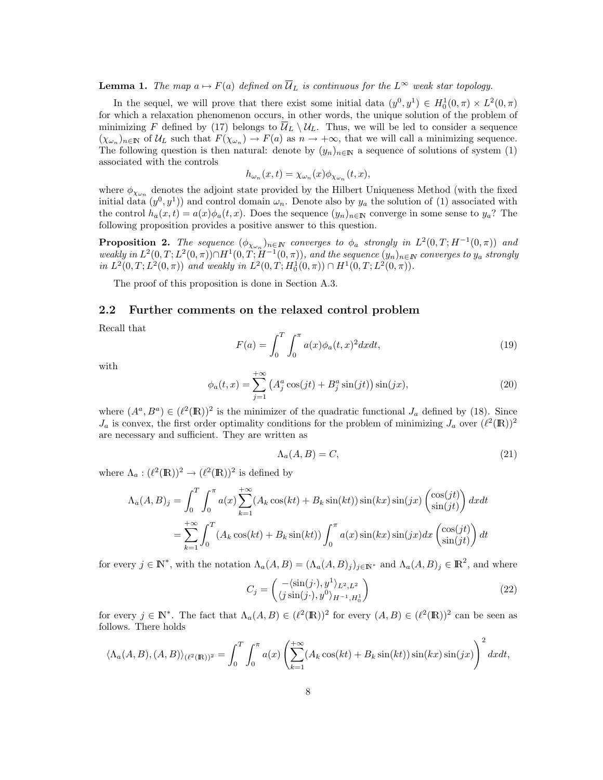**Lemma 1.** The map  $a \mapsto F(a)$  defined on  $\overline{U}_L$  is continuous for the  $L^{\infty}$  weak star topology.

In the sequel, we will prove that there exist some initial data  $(y^0, y^1) \in H_0^1(0, \pi) \times L^2(0, \pi)$ for which a relaxation phenomenon occurs, in other words, the unique solution of the problem of minimizing F defined by (17) belongs to  $\overline{\mathcal{U}}_L \setminus \mathcal{U}_L$ . Thus, we will be led to consider a sequence  $(\chi_{\omega_n})_{n\in\mathbb{N}}$  of  $\mathcal{U}_L$  such that  $F(\chi_{\omega_n}) \to F(a)$  as  $n \to +\infty$ , that we will call a minimizing sequence. The following question is then natural: denote by  $(y_n)_{n\in\mathbb{N}}$  a sequence of solutions of system (1) associated with the controls

$$
h_{\omega_n}(x,t) = \chi_{\omega_n}(x)\phi_{\chi_{\omega_n}}(t,x),
$$

where  $\phi_{\chi_{\omega_n}}$  denotes the adjoint state provided by the Hilbert Uniqueness Method (with the fixed initial data  $(y^0, y^1)$  and control domain  $\omega_n$ . Denote also by  $y_a$  the solution of (1) associated with the control  $h_a(x,t) = a(x)\phi_a(t,x)$ . Does the sequence  $(y_n)_{n\in\mathbb{N}}$  converge in some sense to  $y_a$ ? The following proposition provides a positive answer to this question.

**Proposition 2.** The sequence  $(\phi_{\chi_{\omega_n}})_{n \in \mathbb{N}}$  converges to  $\phi_a$  strongly in  $L^2(0,T;H^{-1}(0,\pi))$  and weakly in  $L^2(0,T;L^2(0,\pi)) \cap H^1(0,T;H^{-1}(0,\pi))$ , and the sequence  $(y_n)_{n \in \mathbb{N}}$  converges to  $y_a$  strongly in  $L^2(0,T; L^2(0,\pi))$  and weakly in  $L^2(0,T; H_0^1(0,\pi)) \cap H^1(0,T; L^2(0,\pi))$ .

The proof of this proposition is done in Section A.3.

### 2.2 Further comments on the relaxed control problem

Recall that

$$
F(a) = \int_0^T \int_0^{\pi} a(x) \phi_a(t, x)^2 dx dt,
$$
\n(19)

with

$$
\phi_a(t,x) = \sum_{j=1}^{+\infty} \left( A_j^a \cos(jt) + B_j^a \sin(jt) \right) \sin(jx),\tag{20}
$$

where  $(A^a, B^a) \in (\ell^2(\mathbb{R}))^2$  is the minimizer of the quadratic functional  $J_a$  defined by (18). Since  $J_a$  is convex, the first order optimality conditions for the problem of minimizing  $J_a$  over  $({\ell}^2(\mathbb{R}))^2$ are necessary and sufficient. They are written as

$$
\Lambda_a(A, B) = C,\tag{21}
$$

where  $\Lambda_a : (\ell^2(\mathbb{R}))^2 \to (\ell^2(\mathbb{R}))^2$  is defined by

$$
\Lambda_a(A, B)_j = \int_0^T \int_0^{\pi} a(x) \sum_{k=1}^{+\infty} (A_k \cos(kt) + B_k \sin(kt)) \sin(kx) \sin(jx) \begin{pmatrix} \cos(jt) \\ \sin(jt) \end{pmatrix} dx dt
$$
  
= 
$$
\sum_{k=1}^{+\infty} \int_0^T (A_k \cos(kt) + B_k \sin(kt)) \int_0^{\pi} a(x) \sin(kx) \sin(jx) dx \begin{pmatrix} \cos(jt) \\ \sin(jt) \end{pmatrix} dt
$$

for every  $j \in \mathbb{N}^*$ , with the notation  $\Lambda_a(A, B) = (\Lambda_a(A, B)_j)_{j \in \mathbb{N}^*}$  and  $\Lambda_a(A, B)_j \in \mathbb{R}^2$ , and where

$$
C_j = \begin{pmatrix} -\langle \sin(j \cdot), y^1 \rangle_{L^2, L^2} \\ \langle j \sin(j \cdot), y^0 \rangle_{H^{-1}, H_0^1} \end{pmatrix}
$$
 (22)

for every  $j \in \mathbb{N}^*$ . The fact that  $\Lambda_a(A, B) \in (\ell^2(\mathbb{R}))^2$  for every  $(A, B) \in (\ell^2(\mathbb{R}))^2$  can be seen as follows. There holds

$$
\langle \Lambda_a(A,B), (A,B) \rangle_{(\ell^2(\mathbb{R}))^2} = \int_0^T \int_0^{\pi} a(x) \left( \sum_{k=1}^{+\infty} (A_k \cos(kt) + B_k \sin(kt)) \sin(kx) \sin(jx) \right)^2 dxdt,
$$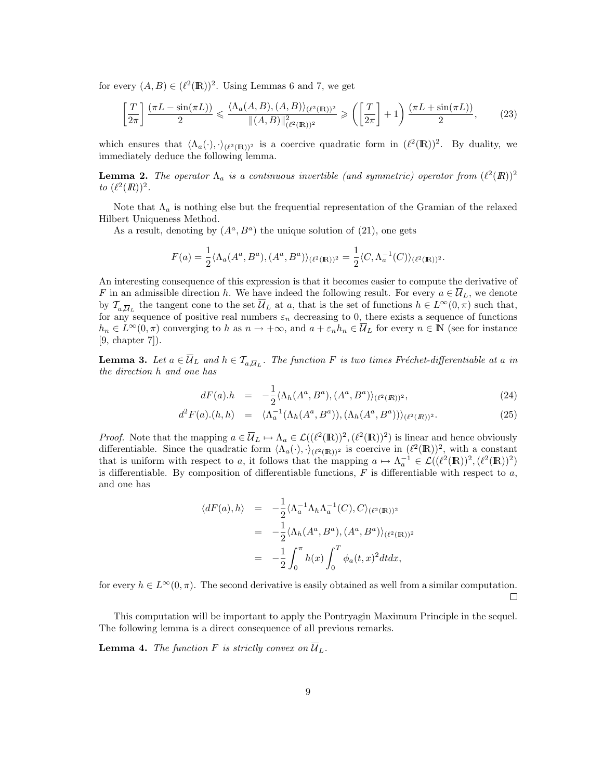for every  $(A, B) \in (\ell^2(\mathbb{R}))^2$ . Using Lemmas 6 and 7, we get

$$
\left[\frac{T}{2\pi}\right] \frac{(\pi L - \sin(\pi L))}{2} \leq \frac{\langle \Lambda_a(A, B), (A, B) \rangle_{(\ell^2(\mathbb{R}))^2}}{\|(A, B)\|_{(\ell^2(\mathbb{R}))^2}^2} \geq \left(\left[\frac{T}{2\pi}\right] + 1\right) \frac{(\pi L + \sin(\pi L))}{2},\tag{23}
$$

which ensures that  $\langle \Lambda_a(\cdot), \cdot \rangle_{(\ell^2(\mathbb{R}))^2}$  is a coercive quadratic form in  $(\ell^2(\mathbb{R}))^2$ . By duality, we immediately deduce the following lemma.

**Lemma 2.** The operator  $\Lambda_a$  is a continuous invertible (and symmetric) operator from  $(\ell^2(\mathbb{R}))^2$ to  $({\ell}^2({I\!\!R}))^2$ .

Note that  $\Lambda_a$  is nothing else but the frequential representation of the Gramian of the relaxed Hilbert Uniqueness Method.

As a result, denoting by  $(A^a, B^a)$  the unique solution of (21), one gets

$$
F(a) = \frac{1}{2} \langle \Lambda_a(A^a, B^a), (A^a, B^a) \rangle_{(\ell^2(\mathbb{R}))^2} = \frac{1}{2} \langle C, \Lambda_a^{-1}(C) \rangle_{(\ell^2(\mathbb{R}))^2}.
$$

An interesting consequence of this expression is that it becomes easier to compute the derivative of F in an admissible direction h. We have indeed the following result. For every  $a \in \overline{\mathcal{U}}_L$ , we denote by  $\mathcal{T}_{a,\overline{\mathcal{U}}_L}$  the tangent cone to the set  $\overline{\mathcal{U}}_L$  at a, that is the set of functions  $h \in L^{\infty}(0,\pi)$  such that, for any sequence of positive real numbers  $\varepsilon_n$  decreasing to 0, there exists a sequence of functions  $h_n \in L^{\infty}(0,\pi)$  converging to h as  $n \to +\infty$ , and  $a + \varepsilon_n h_n \in \overline{\mathcal{U}}_L$  for every  $n \in \mathbb{N}$  (see for instance [9, chapter 7]).

**Lemma 3.** Let  $a \in \overline{U}_L$  and  $h \in \mathcal{T}_{a,\overline{U}_L}$ . The function F is two times Fréchet-differentiable at a in the direction h and one has

$$
dF(a).h = -\frac{1}{2} \langle \Lambda_h(A^a, B^a), (A^a, B^a) \rangle_{(\ell^2(R))^2}, \tag{24}
$$

$$
d^2F(a).(h,h) = \langle \Lambda_a^{-1}(\Lambda_h(A^a, B^a)), (\Lambda_h(A^a, B^a)) \rangle_{(\ell^2(R))^2}.
$$
 (25)

*Proof.* Note that the mapping  $a \in \overline{\mathcal{U}}_L \mapsto \Lambda_a \in \mathcal{L}((\ell^2(\mathbb{R}))^2, (\ell^2(\mathbb{R}))^2)$  is linear and hence obviously differentiable. Since the quadratic form  $\langle \Lambda_a(\cdot), \cdot \rangle_{(\ell^2(\mathbb{R}))^2}$  is coercive in  $(\ell^2(\mathbb{R}))^2$ , with a constant that is uniform with respect to a, it follows that the mapping  $a \mapsto \Lambda_a^{-1} \in \mathcal{L}((\ell^2(\mathbb{R}))^2, (\ell^2(\mathbb{R}))^2)$ is differentiable. By composition of differentiable functions,  $F$  is differentiable with respect to  $a$ , and one has

$$
\langle dF(a), h \rangle = -\frac{1}{2} \langle \Lambda_a^{-1} \Lambda_h \Lambda_a^{-1}(C), C \rangle_{(\ell^2(\mathbb{R}))^2}
$$
  

$$
= -\frac{1}{2} \langle \Lambda_h (A^a, B^a), (A^a, B^a) \rangle_{(\ell^2(\mathbb{R}))^2}
$$
  

$$
= -\frac{1}{2} \int_0^{\pi} h(x) \int_0^T \phi_a(t, x)^2 dt dx,
$$

for every  $h \in L^{\infty}(0, \pi)$ . The second derivative is easily obtained as well from a similar computation. П

This computation will be important to apply the Pontryagin Maximum Principle in the sequel. The following lemma is a direct consequence of all previous remarks.

**Lemma 4.** The function F is strictly convex on  $\overline{\mathcal{U}}_L$ .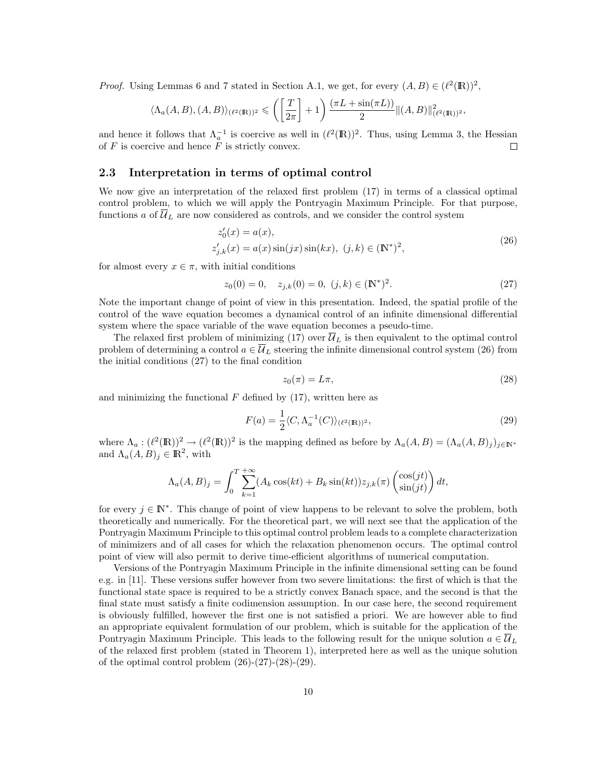*Proof.* Using Lemmas 6 and 7 stated in Section A.1, we get, for every  $(A, B) \in (\ell^2(\mathbb{R}))^2$ ,

$$
\langle \Lambda_a(A,B), (A,B) \rangle_{(\ell^2(\mathbb{R}))^2} \leqslant \left( \left[ \frac{T}{2\pi} \right] + 1 \right) \frac{(\pi L + \sin(\pi L))}{2} \|(A,B)\|_{(\ell^2(\mathbb{R}))^2}^2,
$$

and hence it follows that  $\Lambda_a^{-1}$  is coercive as well in  $({{\ell}^{2}(\mathbb{R})})^{2}$ . Thus, using Lemma 3, the Hessian of  $F$  is coercive and hence  $\overline{F}$  is strictly convex.  $\Box$ 

### 2.3 Interpretation in terms of optimal control

We now give an interpretation of the relaxed first problem (17) in terms of a classical optimal control problem, to which we will apply the Pontryagin Maximum Principle. For that purpose, functions a of  $\overline{\mathcal{U}}_L$  are now considered as controls, and we consider the control system

$$
z'_{0}(x) = a(x),
$$
  
\n
$$
z'_{j,k}(x) = a(x)\sin(jx)\sin(kx), \ (j,k) \in (\mathbb{N}^{*})^{2},
$$
\n(26)

for almost every  $x \in \pi$ , with initial conditions

$$
z_0(0) = 0, \quad z_{j,k}(0) = 0, \ (j,k) \in (\mathbb{N}^*)^2. \tag{27}
$$

Note the important change of point of view in this presentation. Indeed, the spatial profile of the control of the wave equation becomes a dynamical control of an infinite dimensional differential system where the space variable of the wave equation becomes a pseudo-time.

The relaxed first problem of minimizing  $(17)$  over  $\mathcal{U}_L$  is then equivalent to the optimal control problem of determining a control  $a \in \overline{\mathcal{U}}_L$  steering the infinite dimensional control system (26) from the initial conditions (27) to the final condition

$$
z_0(\pi) = L\pi,\tag{28}
$$

and minimizing the functional  $F$  defined by (17), written here as

$$
F(a) = \frac{1}{2} \langle C, \Lambda_a^{-1}(C) \rangle_{(\ell^2(\mathbb{R}))^2},\tag{29}
$$

where  $\Lambda_a: (\ell^2(\mathbb{R}))^2 \to (\ell^2(\mathbb{R}))^2$  is the mapping defined as before by  $\Lambda_a(A, B) = (\Lambda_a(A, B)_j)_{j \in \mathbb{N}^*}$ and  $\Lambda_a(A, B)_j \in \mathbb{R}^2$ , with

$$
\Lambda_a(A, B)_j = \int_0^T \sum_{k=1}^{+\infty} (A_k \cos(kt) + B_k \sin(kt)) z_{j,k}(\pi) \begin{pmatrix} \cos(jt) \\ \sin(jt) \end{pmatrix} dt,
$$

for every  $j \in \mathbb{N}^*$ . This change of point of view happens to be relevant to solve the problem, both theoretically and numerically. For the theoretical part, we will next see that the application of the Pontryagin Maximum Principle to this optimal control problem leads to a complete characterization of minimizers and of all cases for which the relaxation phenomenon occurs. The optimal control point of view will also permit to derive time-efficient algorithms of numerical computation.

Versions of the Pontryagin Maximum Principle in the infinite dimensional setting can be found e.g. in [11]. These versions suffer however from two severe limitations: the first of which is that the functional state space is required to be a strictly convex Banach space, and the second is that the final state must satisfy a finite codimension assumption. In our case here, the second requirement is obviously fulfilled, however the first one is not satisfied a priori. We are however able to find an appropriate equivalent formulation of our problem, which is suitable for the application of the Pontryagin Maximum Principle. This leads to the following result for the unique solution  $a \in \overline{\mathcal{U}}_L$ of the relaxed first problem (stated in Theorem 1), interpreted here as well as the unique solution of the optimal control problem  $(26)-(27)-(28)-(29)$ .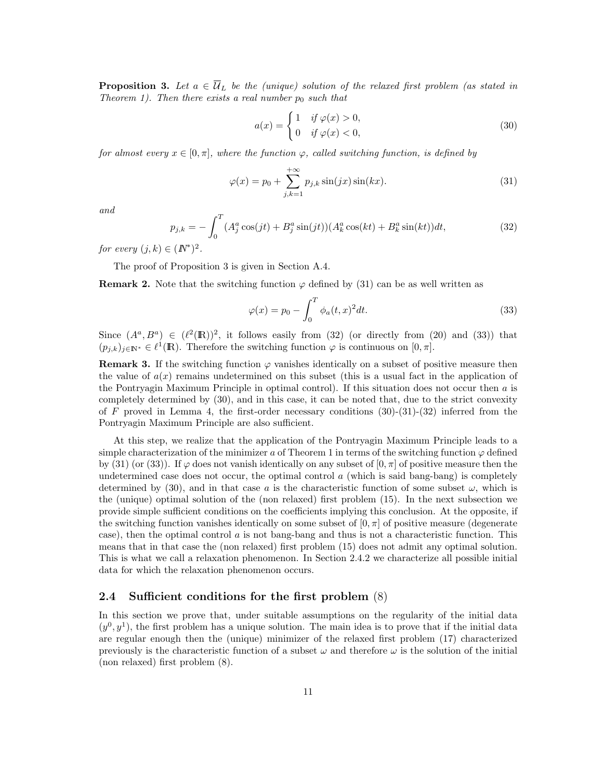**Proposition 3.** Let  $a \in \overline{\mathcal{U}}_L$  be the (unique) solution of the relaxed first problem (as stated in Theorem 1). Then there exists a real number  $p_0$  such that

$$
a(x) = \begin{cases} 1 & \text{if } \varphi(x) > 0, \\ 0 & \text{if } \varphi(x) < 0, \end{cases}
$$
 (30)

for almost every  $x \in [0, \pi]$ , where the function  $\varphi$ , called switching function, is defined by

$$
\varphi(x) = p_0 + \sum_{j,k=1}^{+\infty} p_{j,k} \sin(jx) \sin(kx). \tag{31}
$$

and

$$
p_{j,k} = -\int_0^T (A_j^a \cos(jt) + B_j^a \sin(jt)) (A_k^a \cos(kt) + B_k^a \sin(kt)) dt,
$$
\n(32)

for every  $(j,k) \in (I\!\!N^*)^2$ .

The proof of Proposition 3 is given in Section A.4.

**Remark 2.** Note that the switching function  $\varphi$  defined by (31) can be as well written as

$$
\varphi(x) = p_0 - \int_0^T \phi_a(t, x)^2 dt.
$$
\n(33)

Since  $(A^a, B^a) \in (\ell^2(\mathbb{R}))^2$ , it follows easily from (32) (or directly from (20) and (33)) that  $(p_{j,k})_{j\in\mathbb{N}^*}\in\ell^1(\mathbb{R})$ . Therefore the switching function  $\varphi$  is continuous on  $[0,\pi]$ .

**Remark 3.** If the switching function  $\varphi$  vanishes identically on a subset of positive measure then the value of  $a(x)$  remains undetermined on this subset (this is a usual fact in the application of the Pontryagin Maximum Principle in optimal control). If this situation does not occur then  $\alpha$  is completely determined by (30), and in this case, it can be noted that, due to the strict convexity of F proved in Lemma 4, the first-order necessary conditions  $(30)-(31)-(32)$  inferred from the Pontryagin Maximum Principle are also sufficient.

At this step, we realize that the application of the Pontryagin Maximum Principle leads to a simple characterization of the minimizer a of Theorem 1 in terms of the switching function  $\varphi$  defined by (31) (or (33)). If  $\varphi$  does not vanish identically on any subset of  $[0, \pi]$  of positive measure then the undetermined case does not occur, the optimal control  $a$  (which is said bang-bang) is completely determined by (30), and in that case a is the characteristic function of some subset  $\omega$ , which is the (unique) optimal solution of the (non relaxed) first problem (15). In the next subsection we provide simple sufficient conditions on the coefficients implying this conclusion. At the opposite, if the switching function vanishes identically on some subset of  $[0, \pi]$  of positive measure (degenerate case), then the optimal control a is not bang-bang and thus is not a characteristic function. This means that in that case the (non relaxed) first problem (15) does not admit any optimal solution. This is what we call a relaxation phenomenon. In Section 2.4.2 we characterize all possible initial data for which the relaxation phenomenon occurs.

### 2.4 Sufficient conditions for the first problem (8)

In this section we prove that, under suitable assumptions on the regularity of the initial data  $(y^0, y^1)$ , the first problem has a unique solution. The main idea is to prove that if the initial data are regular enough then the (unique) minimizer of the relaxed first problem (17) characterized previously is the characteristic function of a subset  $\omega$  and therefore  $\omega$  is the solution of the initial (non relaxed) first problem (8).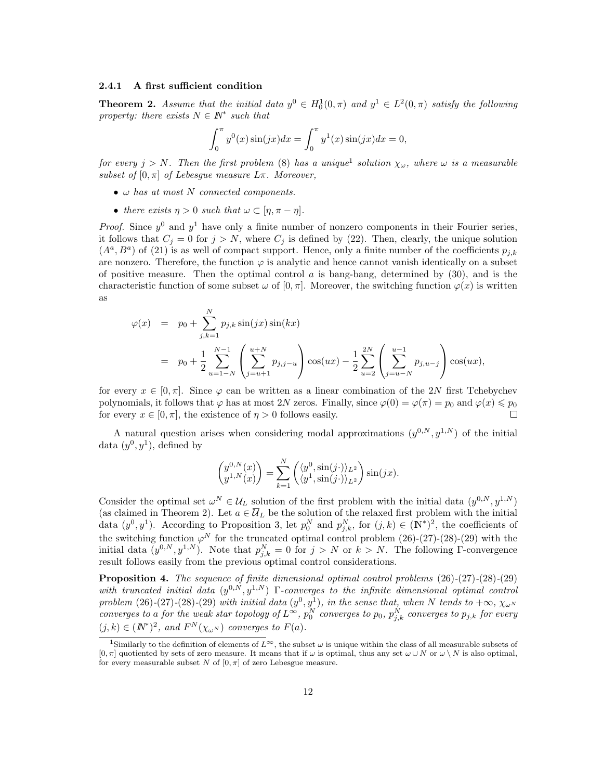#### 2.4.1 A first sufficient condition

**Theorem 2.** Assume that the initial data  $y^0 \in H_0^1(0, \pi)$  and  $y^1 \in L^2(0, \pi)$  satisfy the following property: there exists  $N \in \mathbb{N}^*$  such that

$$
\int_0^{\pi} y^0(x) \sin(jx) dx = \int_0^{\pi} y^1(x) \sin(jx) dx = 0,
$$

for every  $j > N$ . Then the first problem (8) has a unique<sup>1</sup> solution  $\chi_{\omega}$ , where  $\omega$  is a measurable subset of  $[0, \pi]$  of Lebesque measure  $L\pi$ . Moreover,

- $\omega$  has at most N connected components.
- there exists  $\eta > 0$  such that  $\omega \subset [\eta, \pi \eta]$ .

*Proof.* Since  $y^0$  and  $y^1$  have only a finite number of nonzero components in their Fourier series, it follows that  $C_j = 0$  for  $j > N$ , where  $C_j$  is defined by (22). Then, clearly, the unique solution  $(A^a, B^a)$  of (21) is as well of compact support. Hence, only a finite number of the coefficients  $p_{j,k}$ are nonzero. Therefore, the function  $\varphi$  is analytic and hence cannot vanish identically on a subset of positive measure. Then the optimal control  $a$  is bang-bang, determined by  $(30)$ , and is the characteristic function of some subset  $\omega$  of  $[0, \pi]$ . Moreover, the switching function  $\varphi(x)$  is written as

$$
\varphi(x) = p_0 + \sum_{j,k=1}^{N} p_{j,k} \sin(jx) \sin(kx)
$$
  
=  $p_0 + \frac{1}{2} \sum_{u=1-N}^{N-1} \left( \sum_{j=u+1}^{u+N} p_{j,j-u} \right) \cos(ux) - \frac{1}{2} \sum_{u=2}^{2N} \left( \sum_{j=u-N}^{u-1} p_{j,u-j} \right) \cos(ux),$ 

for every  $x \in [0, \pi]$ . Since  $\varphi$  can be written as a linear combination of the 2N first Tchebychev polynomials, it follows that  $\varphi$  has at most 2N zeros. Finally, since  $\varphi(0) = \varphi(\pi) = p_0$  and  $\varphi(x) \leq p_0$ for every  $x \in [0, \pi]$ , the existence of  $\eta > 0$  follows easily. П

A natural question arises when considering modal approximations  $(y^{0,N}, y^{1,N})$  of the initial data  $(y^0, y^1)$ , defined by

$$
\begin{pmatrix} y^{0,N}(x) \\ y^{1,N}(x) \end{pmatrix} = \sum_{k=1}^N \begin{pmatrix} \langle y^0, \sin(j \cdot) \rangle_{L^2} \\ \langle y^1, \sin(j \cdot) \rangle_{L^2} \end{pmatrix} \sin(jx).
$$

Consider the optimal set  $\omega^N \in \mathcal{U}_L$  solution of the first problem with the initial data  $(y^{0,N}, y^{1,N})$ (as claimed in Theorem 2). Let  $a \in \overline{\mathcal{U}}_L$  be the solution of the relaxed first problem with the initial data  $(y^0, y^1)$ . According to Proposition 3, let  $p_0^N$  and  $p_{j,k}^N$ , for  $(j,k) \in (\mathbb{N}^*)^2$ , the coefficients of the switching function  $\varphi^N$  for the truncated optimal control problem (26)-(27)-(28)-(29) with the initial data  $(y^{0,N}, y^{1,N})$ . Note that  $p_{j,k}^N = 0$  for  $j > N$  or  $k > N$ . The following  $\Gamma$ -convergence result follows easily from the previous optimal control considerations.

Proposition 4. The sequence of finite dimensional optimal control problems  $(26)-(27)-(28)-(29)$ with truncated initial data  $(y^{0,N}, y^{1,N})$  Γ-converges to the infinite dimensional optimal control problem  $(26)$ - $(27)$ - $(28)$ - $(29)$  with initial data  $(y<sup>0</sup>, y<sup>1</sup>)$ , in the sense that, when N tends to  $+\infty$ ,  $\chi_{\omega^N}$ converges to a for the weak star topology of  $L^{\infty}$ ,  $p_0^N$  converges to  $p_0$ ,  $p_{j,k}^N$  converges to  $p_{j,k}$  for every  $(j,k) \in (I\!\!N^*)^2$ , and  $F^N(\chi_{\omega^N})$  converges to  $F(a)$ .

<sup>&</sup>lt;sup>1</sup>Similarly to the definition of elements of  $L^{\infty}$ , the subset  $\omega$  is unique within the class of all measurable subsets of  $[0, \pi]$  quotiented by sets of zero measure. It means that if  $\omega$  is optimal, thus any set  $\omega \cup N$  or  $\omega \setminus N$  is also optimal, for every measurable subset N of  $[0, \pi]$  of zero Lebesgue measure.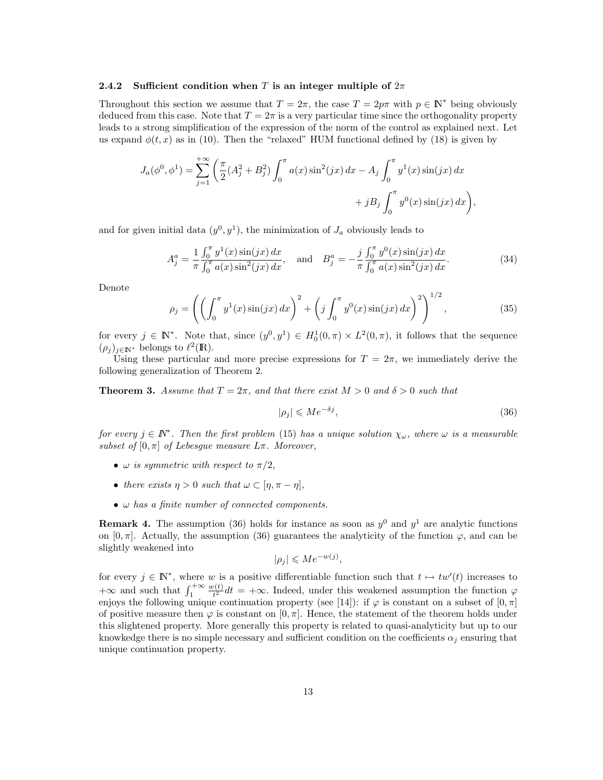#### 2.4.2 Sufficient condition when T is an integer multiple of  $2\pi$

Throughout this section we assume that  $T = 2\pi$ , the case  $T = 2p\pi$  with  $p \in \mathbb{N}^*$  being obviously deduced from this case. Note that  $T = 2\pi$  is a very particular time since the orthogonality property leads to a strong simplification of the expression of the norm of the control as explained next. Let us expand  $\phi(t, x)$  as in (10). Then the "relaxed" HUM functional defined by (18) is given by

$$
J_a(\phi^0, \phi^1) = \sum_{j=1}^{+\infty} \left( \frac{\pi}{2} (A_j^2 + B_j^2) \int_0^{\pi} a(x) \sin^2(jx) dx - A_j \int_0^{\pi} y^1(x) \sin(jx) dx + jB_j \int_0^{\pi} y^0(x) \sin(jx) dx \right),
$$

and for given initial data  $(y^0, y^1)$ , the minimization of  $J_a$  obviously leads to

$$
A_j^a = \frac{1}{\pi} \frac{\int_0^{\pi} y^1(x) \sin(jx) dx}{\int_0^{\pi} a(x) \sin^2(jx) dx}, \text{ and } B_j^a = -\frac{j}{\pi} \frac{\int_0^{\pi} y^0(x) \sin(jx) dx}{\int_0^{\pi} a(x) \sin^2(jx) dx}.
$$
 (34)

Denote

$$
\rho_j = \left( \left( \int_0^\pi y^1(x) \sin(jx) \, dx \right)^2 + \left( j \int_0^\pi y^0(x) \sin(jx) \, dx \right)^2 \right)^{1/2},\tag{35}
$$

for every  $j \in \mathbb{N}^*$ . Note that, since  $(y^0, y^1) \in H_0^1(0, \pi) \times L^2(0, \pi)$ , it follows that the sequence  $(\rho_j)_{j\in\mathbb{N}^*}$  belongs to  $\ell^2(\mathbb{R})$ .

Using these particular and more precise expressions for  $T = 2\pi$ , we immediately derive the following generalization of Theorem 2.

**Theorem 3.** Assume that  $T = 2\pi$ , and that there exist  $M > 0$  and  $\delta > 0$  such that

$$
|\rho_j| \leqslant Me^{-\delta j},\tag{36}
$$

for every  $j \in \mathbb{N}^*$ . Then the first problem (15) has a unique solution  $\chi_{\omega}$ , where  $\omega$  is a measurable subset of  $[0, \pi]$  of Lebesgue measure  $L\pi$ . Moreover,

- $\omega$  is symmetric with respect to  $\pi/2$ ,
- there exists  $\eta > 0$  such that  $\omega \subset [\eta, \pi \eta],$
- $\bullet$   $\omega$  has a finite number of connected components.

**Remark 4.** The assumption (36) holds for instance as soon as  $y^0$  and  $y^1$  are analytic functions on  $[0, \pi]$ . Actually, the assumption (36) guarantees the analyticity of the function  $\varphi$ , and can be slightly weakened into

$$
|\rho_j| \leqslant Me^{-w(j)},
$$

for every  $j \in \mathbb{N}^*$ , where w is a positive differentiable function such that  $t \mapsto tw'(t)$  increases to  $+\infty$  and such that  $\int_1^{+\infty}$  $w(t)$  $t_{\tau}^{(t)}dt = +\infty$ . Indeed, under this weakened assumption the function  $\varphi$ enjoys the following unique continuation property (see [14]): if  $\varphi$  is constant on a subset of  $[0, \pi]$ of positive measure then  $\varphi$  is constant on  $[0, \pi]$ . Hence, the statement of the theorem holds under this slightened property. More generally this property is related to quasi-analyticity but up to our knowkedge there is no simple necessary and sufficient condition on the coefficients  $\alpha_i$  ensuring that unique continuation property.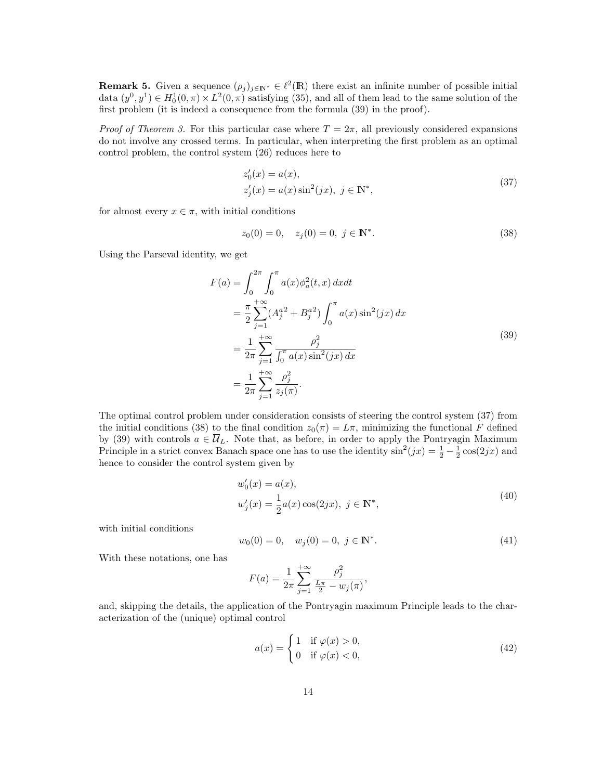**Remark 5.** Given a sequence  $(\rho_j)_{j \in \mathbb{N}^*} \in \ell^2(\mathbb{R})$  there exist an infinite number of possible initial data  $(y^0, y^1) \in H_0^1(0, \pi) \times L^2(0, \pi)$  satisfying (35), and all of them lead to the same solution of the first problem (it is indeed a consequence from the formula (39) in the proof).

*Proof of Theorem 3.* For this particular case where  $T = 2\pi$ , all previously considered expansions do not involve any crossed terms. In particular, when interpreting the first problem as an optimal control problem, the control system (26) reduces here to

$$
z'_{0}(x) = a(x),
$$
  
\n
$$
z'_{j}(x) = a(x)\sin^{2}(jx), \ j \in \mathbb{N}^{*},
$$
\n(37)

for almost every  $x \in \pi$ , with initial conditions

$$
z_0(0) = 0, \quad z_j(0) = 0, \ j \in \mathbb{N}^*.
$$
\n(38)

Using the Parseval identity, we get

$$
F(a) = \int_0^{2\pi} \int_0^{\pi} a(x) \phi_a^2(t, x) dx dt
$$
  
\n
$$
= \frac{\pi}{2} \sum_{j=1}^{+\infty} (A_j^{a^2} + B_j^{a^2}) \int_0^{\pi} a(x) \sin^2(jx) dx
$$
  
\n
$$
= \frac{1}{2\pi} \sum_{j=1}^{+\infty} \frac{\rho_j^2}{\int_0^{\pi} a(x) \sin^2(jx) dx}
$$
  
\n
$$
= \frac{1}{2\pi} \sum_{j=1}^{+\infty} \frac{\rho_j^2}{z_j(\pi)}.
$$
 (39)

The optimal control problem under consideration consists of steering the control system (37) from the initial conditions (38) to the final condition  $z_0(\pi) = L\pi$ , minimizing the functional F defined by (39) with controls  $a \in \overline{\mathcal{U}}_L$ . Note that, as before, in order to apply the Pontryagin Maximum Principle in a strict convex Banach space one has to use the identity  $\sin^2(jx) = \frac{1}{2} - \frac{1}{2}\cos(2jx)$  and hence to consider the control system given by

$$
w'_0(x) = a(x),
$$
  
\n
$$
w'_j(x) = \frac{1}{2}a(x)\cos(2jx), \ j \in \mathbb{N}^*,
$$
\n(40)

with initial conditions

$$
w_0(0) = 0, \quad w_j(0) = 0, \ j \in \mathbb{N}^*.
$$
\n(41)

,

With these notations, one has

$$
F(a) = \frac{1}{2\pi} \sum_{j=1}^{+\infty} \frac{\rho_j^2}{\frac{L\pi}{2} - w_j(\pi)}
$$

and, skipping the details, the application of the Pontryagin maximum Principle leads to the characterization of the (unique) optimal control

$$
a(x) = \begin{cases} 1 & \text{if } \varphi(x) > 0, \\ 0 & \text{if } \varphi(x) < 0, \end{cases}
$$
 (42)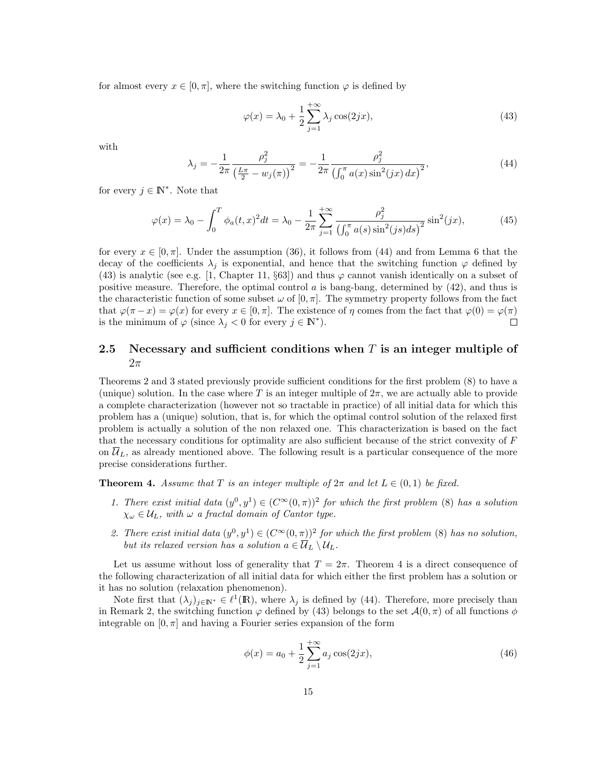for almost every  $x \in [0, \pi]$ , where the switching function  $\varphi$  is defined by

$$
\varphi(x) = \lambda_0 + \frac{1}{2} \sum_{j=1}^{+\infty} \lambda_j \cos(2jx),\tag{43}
$$

with

$$
\lambda_j = -\frac{1}{2\pi} \frac{\rho_j^2}{\left(\frac{L\pi}{2} - w_j(\pi)\right)^2} = -\frac{1}{2\pi} \frac{\rho_j^2}{\left(\int_0^{\pi} a(x) \sin^2(jx) \, dx\right)^2},\tag{44}
$$

for every  $j \in \mathbb{N}^*$ . Note that

$$
\varphi(x) = \lambda_0 - \int_0^T \phi_a(t, x)^2 dt = \lambda_0 - \frac{1}{2\pi} \sum_{j=1}^{+\infty} \frac{\rho_j^2}{\left(\int_0^{\pi} a(s) \sin^2(js) ds\right)^2} \sin^2(jx),\tag{45}
$$

for every  $x \in [0, \pi]$ . Under the assumption (36), it follows from (44) and from Lemma 6 that the decay of the coefficients  $\lambda_j$  is exponential, and hence that the switching function  $\varphi$  defined by (43) is analytic (see e.g. [1, Chapter 11, §63]) and thus  $\varphi$  cannot vanish identically on a subset of positive measure. Therefore, the optimal control  $a$  is bang-bang, determined by  $(42)$ , and thus is the characteristic function of some subset  $\omega$  of  $[0, \pi]$ . The symmetry property follows from the fact that  $\varphi(\pi - x) = \varphi(x)$  for every  $x \in [0, \pi]$ . The existence of  $\eta$  comes from the fact that  $\varphi(0) = \varphi(\pi)$ is the minimum of  $\varphi$  (since  $\lambda_j < 0$  for every  $j \in \mathbb{N}^*$ ).  $\Box$ 

### 2.5 Necessary and sufficient conditions when  $T$  is an integer multiple of  $2\pi$

Theorems 2 and 3 stated previously provide sufficient conditions for the first problem (8) to have a (unique) solution. In the case where T is an integer multiple of  $2\pi$ , we are actually able to provide a complete characterization (however not so tractable in practice) of all initial data for which this problem has a (unique) solution, that is, for which the optimal control solution of the relaxed first problem is actually a solution of the non relaxed one. This characterization is based on the fact that the necessary conditions for optimality are also sufficient because of the strict convexity of F on  $\mathcal{U}_L$ , as already mentioned above. The following result is a particular consequence of the more precise considerations further.

**Theorem 4.** Assume that T is an integer multiple of  $2\pi$  and let  $L \in (0,1)$  be fixed.

- 1. There exist initial data  $(y^0, y^1) \in (C^{\infty}(0, \pi))^2$  for which the first problem (8) has a solution  $\chi_{\omega} \in U_L$ , with  $\omega$  a fractal domain of Cantor type.
- 2. There exist initial data  $(y^0, y^1) \in (C^\infty(0, \pi))^2$  for which the first problem (8) has no solution, but its relaxed version has a solution  $a \in \overline{\mathcal{U}}_L \setminus \mathcal{U}_L$ .

Let us assume without loss of generality that  $T = 2\pi$ . Theorem 4 is a direct consequence of the following characterization of all initial data for which either the first problem has a solution or it has no solution (relaxation phenomenon).

Note first that  $(\lambda_j)_{j\in\mathbb{N}^*}\in\ell^1(\mathbb{R})$ , where  $\lambda_j$  is defined by (44). Therefore, more precisely than in Remark 2, the switching function  $\varphi$  defined by (43) belongs to the set  $\mathcal{A}(0,\pi)$  of all functions  $\phi$ integrable on  $[0, \pi]$  and having a Fourier series expansion of the form

$$
\phi(x) = a_0 + \frac{1}{2} \sum_{j=1}^{+\infty} a_j \cos(2jx),\tag{46}
$$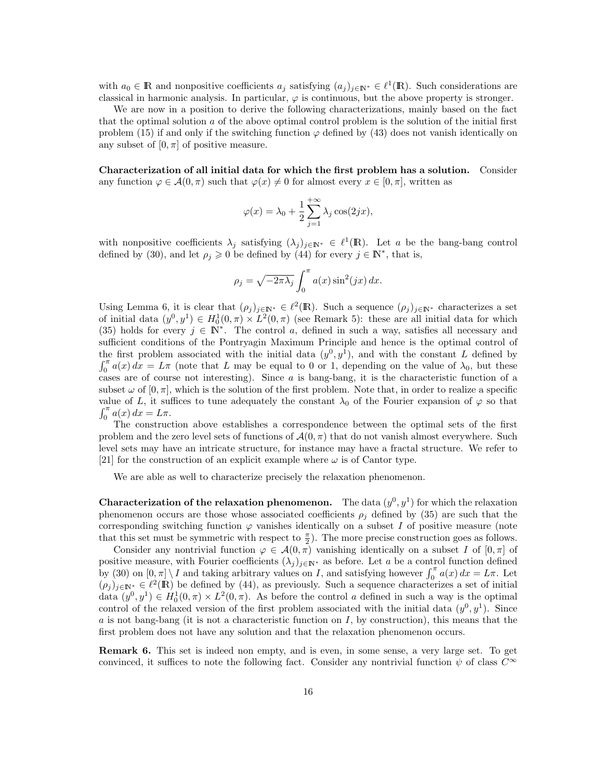with  $a_0 \in \mathbb{R}$  and nonpositive coefficients  $a_j$  satisfying  $(a_j)_{j \in \mathbb{N}^*} \in \ell^1(\mathbb{R})$ . Such considerations are classical in harmonic analysis. In particular,  $\varphi$  is continuous, but the above property is stronger.

We are now in a position to derive the following characterizations, mainly based on the fact that the optimal solution  $\alpha$  of the above optimal control problem is the solution of the initial first problem (15) if and only if the switching function  $\varphi$  defined by (43) does not vanish identically on any subset of  $[0, \pi]$  of positive measure.

Characterization of all initial data for which the first problem has a solution. Consider any function  $\varphi \in \mathcal{A}(0,\pi)$  such that  $\varphi(x) \neq 0$  for almost every  $x \in [0,\pi]$ , written as

$$
\varphi(x) = \lambda_0 + \frac{1}{2} \sum_{j=1}^{+\infty} \lambda_j \cos(2jx),
$$

with nonpositive coefficients  $\lambda_j$  satisfying  $(\lambda_j)_{j\in\mathbb{N}^*}\in\ell^1(\mathbb{R})$ . Let a be the bang-bang control defined by (30), and let  $\rho_j \geq 0$  be defined by (44) for every  $j \in \mathbb{N}^*$ , that is,

$$
\rho_j = \sqrt{-2\pi\lambda_j} \int_0^{\pi} a(x) \sin^2(jx) dx.
$$

Using Lemma 6, it is clear that  $(\rho_j)_{j\in\mathbb{N}^*} \in \ell^2(\mathbb{R})$ . Such a sequence  $(\rho_j)_{j\in\mathbb{N}^*}$  characterizes a set of initial data  $(y^0, y^1) \in H_0^1(0, \pi) \times L^2(0, \pi)$  (see Remark 5): these are all initial data for which (35) holds for every  $j \in \mathbb{N}^*$ . The control a, defined in such a way, satisfies all necessary and sufficient conditions of the Pontryagin Maximum Principle and hence is the optimal control of the first problem associated with the initial data  $(y^0, y^1)$ , and with the constant L defined by  $\int_0^{\pi} a(x) dx = L\pi$  (note that L may be equal to 0 or 1, depending on the value of  $\lambda_0$ , but these cases are of course not interesting). Since a is bang-bang, it is the characteristic function of a subset  $\omega$  of  $[0, \pi]$ , which is the solution of the first problem. Note that, in order to realize a specific value of L, it suffices to tune adequately the constant  $\lambda_0$  of the Fourier expansion of  $\varphi$  so that  $\int_0^{\pi} a(x) dx = L\pi.$ 

The construction above establishes a correspondence between the optimal sets of the first problem and the zero level sets of functions of  $\mathcal{A}(0,\pi)$  that do not vanish almost everywhere. Such level sets may have an intricate structure, for instance may have a fractal structure. We refer to [21] for the construction of an explicit example where  $\omega$  is of Cantor type.

We are able as well to characterize precisely the relaxation phenomenon.

**Characterization of the relaxation phenomenon.** The data  $(y^0, y^1)$  for which the relaxation phenomenon occurs are those whose associated coefficients  $\rho_j$  defined by (35) are such that the corresponding switching function  $\varphi$  vanishes identically on a subset I of positive measure (note that this set must be symmetric with respect to  $\frac{\pi}{2}$ ). The more precise construction goes as follows.

Consider any nontrivial function  $\varphi \in \mathcal{A}(0,\pi)$  vanishing identically on a subset I of  $[0,\pi]$  of positive measure, with Fourier coefficients  $(\lambda_j)_{j\in\mathbb{N}^*}$  as before. Let a be a control function defined by (30) on  $[0, \pi] \setminus I$  and taking arbitrary values on I, and satisfying however  $\int_0^{\pi} a(x) dx = L\pi$ . Let  $(\rho_j)_{j\in\mathbb{N}^*}\in\ell^2(\mathbb{R})$  be defined by (44), as previously. Such a sequence characterizes a set of initial data  $(y^0, y^1) \in H_0^1(0, \pi) \times L^2(0, \pi)$ . As before the control a defined in such a way is the optimal control of the relaxed version of the first problem associated with the initial data  $(y^0, y^1)$ . Since a is not bang-bang (it is not a characteristic function on  $I$ , by construction), this means that the first problem does not have any solution and that the relaxation phenomenon occurs.

Remark 6. This set is indeed non empty, and is even, in some sense, a very large set. To get convinced, it suffices to note the following fact. Consider any nontrivial function  $\psi$  of class  $C^{\infty}$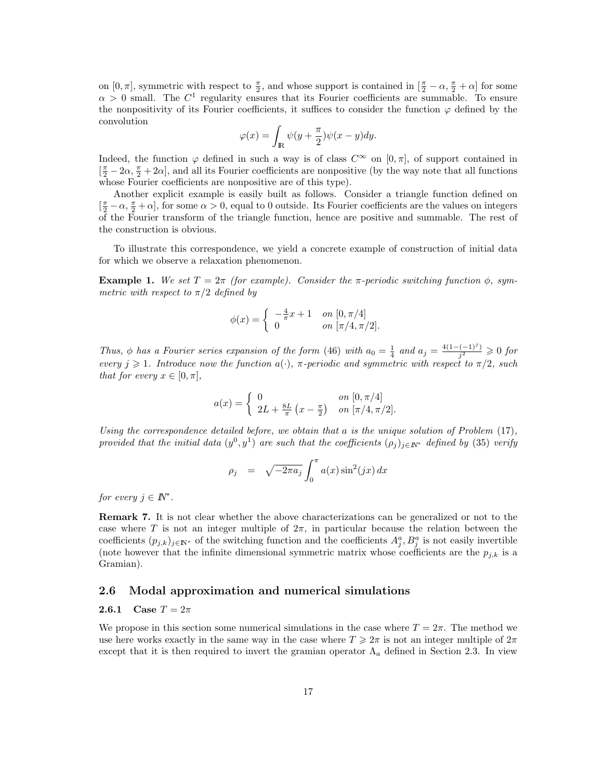on  $[0, \pi]$ , symmetric with respect to  $\frac{\pi}{2}$ , and whose support is contained in  $[\frac{\pi}{2} - \alpha, \frac{\pi}{2} + \alpha]$  for some  $\alpha > 0$  small. The  $C^1$  regularity ensures that its Fourier coefficients are summable. To ensure the nonpositivity of its Fourier coefficients, it suffices to consider the function  $\varphi$  defined by the convolution

$$
\varphi(x) = \int_{\mathbb{R}} \psi(y + \frac{\pi}{2})\psi(x - y)dy.
$$

Indeed, the function  $\varphi$  defined in such a way is of class  $C^{\infty}$  on  $[0, \pi]$ , of support contained in  $\left[\frac{\pi}{2}-2\alpha,\frac{\pi}{2}+2\alpha\right]$ , and all its Fourier coefficients are nonpositive (by the way note that all functions whose Fourier coefficients are nonpositive are of this type).

Another explicit example is easily built as follows. Consider a triangle function defined on  $\left[\frac{\pi}{2}-\alpha,\frac{\pi}{2}+\alpha\right]$ , for some  $\alpha>0$ , equal to 0 outside. Its Fourier coefficients are the values on integers of the Fourier transform of the triangle function, hence are positive and summable. The rest of the construction is obvious.

To illustrate this correspondence, we yield a concrete example of construction of initial data for which we observe a relaxation phenomenon.

Example 1. We set  $T = 2\pi$  (for example). Consider the  $\pi$ -periodic switching function  $\phi$ , symmetric with respect to  $\pi/2$  defined by

$$
\phi(x) = \begin{cases}\n-\frac{4}{\pi}x + 1 & \text{on } [0, \pi/4] \\
0 & \text{on } [\pi/4, \pi/2].\n\end{cases}
$$

Thus, φ has a Fourier series expansion of the form (46) with  $a_0 = \frac{1}{4}$  and  $a_j = \frac{4(1 - (-1)^j)}{j^2}$  $\frac{(-1)^j}{j^2} \geqslant 0$  for every  $j \geq 1$ . Introduce now the function  $a(\cdot)$ ,  $\pi$ -periodic and symmetric with respect to  $\pi/2$ , such that for every  $x \in [0, \pi]$ ,

$$
a(x) = \begin{cases} 0 & \text{on } [0, \pi/4] \\ 2L + \frac{8L}{\pi} (x - \frac{\pi}{2}) & \text{on } [\pi/4, \pi/2]. \end{cases}
$$

Using the correspondence detailed before, we obtain that a is the unique solution of Problem  $(17)$ , provided that the initial data  $(y^0, y^1)$  are such that the coefficients  $(\rho_j)_{j \in \mathbb{N}^*}$  defined by (35) verify

$$
\rho_j = \sqrt{-2\pi a_j} \int_0^{\pi} a(x) \sin^2(jx) dx
$$

for every  $j \in \mathbb{N}^*$ .

Remark 7. It is not clear whether the above characterizations can be generalized or not to the case where T is not an integer multiple of  $2\pi$ , in particular because the relation between the coefficients  $(p_{j,k})_{j\in\mathbb{N}^*}$  of the switching function and the coefficients  $A_j^a, B_j^a$  is not easily invertible (note however that the infinite dimensional symmetric matrix whose coefficients are the  $p_{j,k}$  is a Gramian).

### 2.6 Modal approximation and numerical simulations

### **2.6.1** Case  $T = 2\pi$

We propose in this section some numerical simulations in the case where  $T = 2\pi$ . The method we use here works exactly in the same way in the case where  $T \geq 2\pi$  is not an integer multiple of  $2\pi$ except that it is then required to invert the gramian operator  $\Lambda_a$  defined in Section 2.3. In view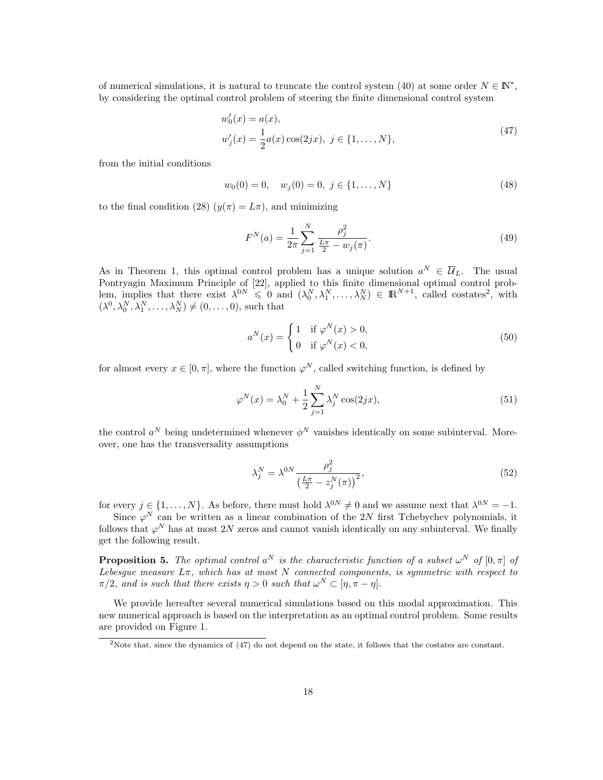of numerical simulations, it is natural to truncate the control system (40) at some order  $N \in \mathbb{N}^*$ , by considering the optimal control problem of steering the finite dimensional control system

$$
w'_0(x) = a(x),
$$
  
\n
$$
w'_j(x) = \frac{1}{2}a(x)\cos(2jx), \ j \in \{1, ..., N\},
$$
\n(47)

from the initial conditions

$$
w_0(0) = 0, \quad w_j(0) = 0, \ j \in \{1, \dots, N\}
$$
\n<sup>(48)</sup>

to the final condition (28)  $(y(\pi) = L\pi)$ , and minimizing

$$
F^{N}(a) = \frac{1}{2\pi} \sum_{j=1}^{N} \frac{\rho_j^2}{\frac{L\pi}{2} - w_j(\pi)}.
$$
\n(49)

As in Theorem 1, this optimal control problem has a unique solution  $a^N \in \overline{U}_L$ . The usual Pontryagin Maximum Principle of [22], applied to this finite dimensional optimal control problem, implies that there exist  $\lambda^{0N} \leq 0$  and  $(\lambda_0^N, \lambda_1^N, \ldots, \lambda_N^N) \in \mathbb{R}^{N+1}$ , called costates<sup>2</sup>, with  $(\lambda^0, \lambda_0^N, \lambda_1^N, \dots, \lambda_N^N) \neq (0, \dots, 0)$ , such that

$$
a^N(x) = \begin{cases} 1 & \text{if } \varphi^N(x) > 0, \\ 0 & \text{if } \varphi^N(x) < 0, \end{cases} \tag{50}
$$

for almost every  $x \in [0, \pi]$ , where the function  $\varphi^N$ , called switching function, is defined by

$$
\varphi^N(x) = \lambda_0^N + \frac{1}{2} \sum_{j=1}^N \lambda_j^N \cos(2jx),\tag{51}
$$

the control  $a^N$  being undetermined whenever  $\phi^N$  vanishes identically on some subinterval. Moreover, one has the transversality assumptions

$$
\lambda_j^N = \lambda^{0N} \frac{\rho_j^2}{\left(\frac{L\pi}{2} - z_j^N(\pi)\right)^2},\tag{52}
$$

for every  $j \in \{1, \ldots, N\}$ . As before, there must hold  $\lambda^{0N} \neq 0$  and we assume next that  $\lambda^{0N} = -1$ .

Since  $\varphi^N$  can be written as a linear combination of the 2N first Tchebychev polynomials, it follows that  $\varphi^N$  has at most 2N zeros and cannot vanish identically on any subinterval. We finally get the following result.

**Proposition 5.** The optimal control  $a^N$  is the characteristic function of a subset  $\omega^N$  of  $[0, \pi]$  of Lebesgue measure  $L\pi$ , which has at most N connected components, is symmetric with respect to  $\pi/2$ , and is such that there exists  $\eta > 0$  such that  $\omega^N \subset [\eta, \pi - \eta]$ .

We provide hereafter several numerical simulations based on this modal approximation. This new numerical approach is based on the interpretation as an optimal control problem. Some results are provided on Figure 1.

<sup>2</sup>Note that, since the dynamics of (47) do not depend on the state, it follows that the costates are constant.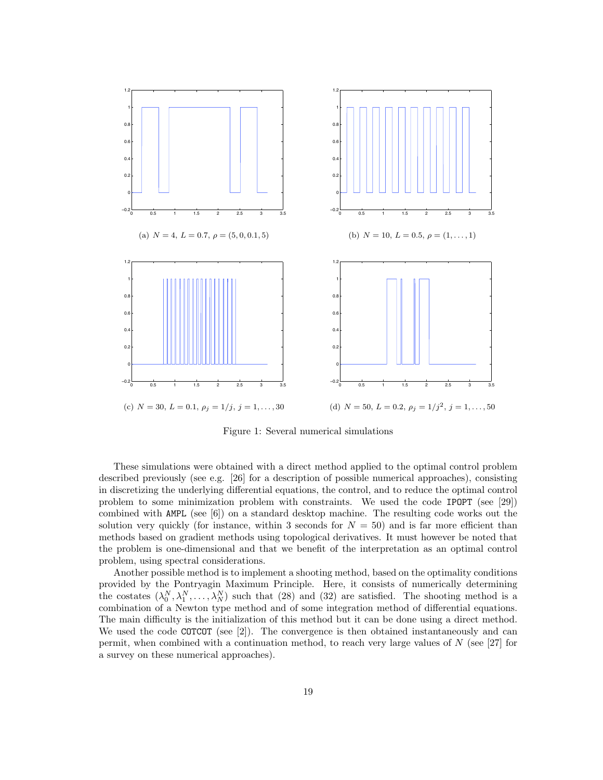

Figure 1: Several numerical simulations

These simulations were obtained with a direct method applied to the optimal control problem described previously (see e.g. [26] for a description of possible numerical approaches), consisting in discretizing the underlying differential equations, the control, and to reduce the optimal control problem to some minimization problem with constraints. We used the code IPOPT (see [29]) combined with AMPL (see [6]) on a standard desktop machine. The resulting code works out the solution very quickly (for instance, within 3 seconds for  $N = 50$ ) and is far more efficient than methods based on gradient methods using topological derivatives. It must however be noted that the problem is one-dimensional and that we benefit of the interpretation as an optimal control problem, using spectral considerations.

Another possible method is to implement a shooting method, based on the optimality conditions provided by the Pontryagin Maximum Principle. Here, it consists of numerically determining the costates  $(\lambda_0^N, \lambda_1^N, \ldots, \lambda_N^N)$  such that (28) and (32) are satisfied. The shooting method is a combination of a Newton type method and of some integration method of differential equations. The main difficulty is the initialization of this method but it can be done using a direct method. We used the code COTCOT (see [2]). The convergence is then obtained instantaneously and can permit, when combined with a continuation method, to reach very large values of  $N$  (see [27] for a survey on these numerical approaches).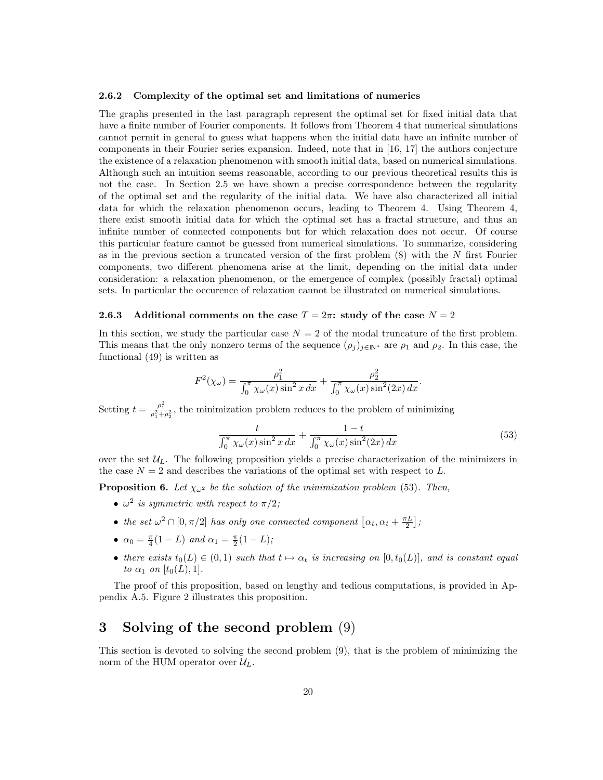#### 2.6.2 Complexity of the optimal set and limitations of numerics

The graphs presented in the last paragraph represent the optimal set for fixed initial data that have a finite number of Fourier components. It follows from Theorem 4 that numerical simulations cannot permit in general to guess what happens when the initial data have an infinite number of components in their Fourier series expansion. Indeed, note that in [16, 17] the authors conjecture the existence of a relaxation phenomenon with smooth initial data, based on numerical simulations. Although such an intuition seems reasonable, according to our previous theoretical results this is not the case. In Section 2.5 we have shown a precise correspondence between the regularity of the optimal set and the regularity of the initial data. We have also characterized all initial data for which the relaxation phenomenon occurs, leading to Theorem 4. Using Theorem 4, there exist smooth initial data for which the optimal set has a fractal structure, and thus an infinite number of connected components but for which relaxation does not occur. Of course this particular feature cannot be guessed from numerical simulations. To summarize, considering as in the previous section a truncated version of the first problem (8) with the N first Fourier components, two different phenomena arise at the limit, depending on the initial data under consideration: a relaxation phenomenon, or the emergence of complex (possibly fractal) optimal sets. In particular the occurence of relaxation cannot be illustrated on numerical simulations.

#### 2.6.3 Additional comments on the case  $T = 2\pi$ : study of the case  $N = 2$

In this section, we study the particular case  $N = 2$  of the modal truncature of the first problem. This means that the only nonzero terms of the sequence  $(\rho_j)_{j\in\mathbb{N}^*}$  are  $\rho_1$  and  $\rho_2$ . In this case, the functional (49) is written as

$$
F^{2}(\chi_{\omega}) = \frac{\rho_{1}^{2}}{\int_{0}^{\pi} \chi_{\omega}(x) \sin^{2} x dx} + \frac{\rho_{2}^{2}}{\int_{0}^{\pi} \chi_{\omega}(x) \sin^{2}(2x) dx}.
$$

Setting  $t = \frac{\rho_1^2}{\rho_1^2 + \rho_2^2}$ , the minimization problem reduces to the problem of minimizing

$$
\frac{t}{\int_0^\pi \chi_\omega(x) \sin^2 x \, dx} + \frac{1-t}{\int_0^\pi \chi_\omega(x) \sin^2(2x) \, dx} \tag{53}
$$

over the set  $\mathcal{U}_L$ . The following proposition yields a precise characterization of the minimizers in the case  $N = 2$  and describes the variations of the optimal set with respect to L.

**Proposition 6.** Let  $\chi_{\omega^2}$  be the solution of the minimization problem (53). Then,

- $\omega^2$  is symmetric with respect to  $\pi/2$ ;
- the set  $\omega^2 \cap [0, \pi/2]$  has only one connected component  $[\alpha_t, \alpha_t + \frac{\pi L}{2}]$ ;
- $\alpha_0 = \frac{\pi}{4}(1-L)$  and  $\alpha_1 = \frac{\pi}{2}(1-L);$
- there exists  $t_0(L) \in (0,1)$  such that  $t \mapsto \alpha_t$  is increasing on  $[0, t_0(L)]$ , and is constant equal to  $\alpha_1$  on  $[t_0(L), 1]$ .

The proof of this proposition, based on lengthy and tedious computations, is provided in Appendix A.5. Figure 2 illustrates this proposition.

# 3 Solving of the second problem (9)

This section is devoted to solving the second problem (9), that is the problem of minimizing the norm of the HUM operator over  $\mathcal{U}_L$ .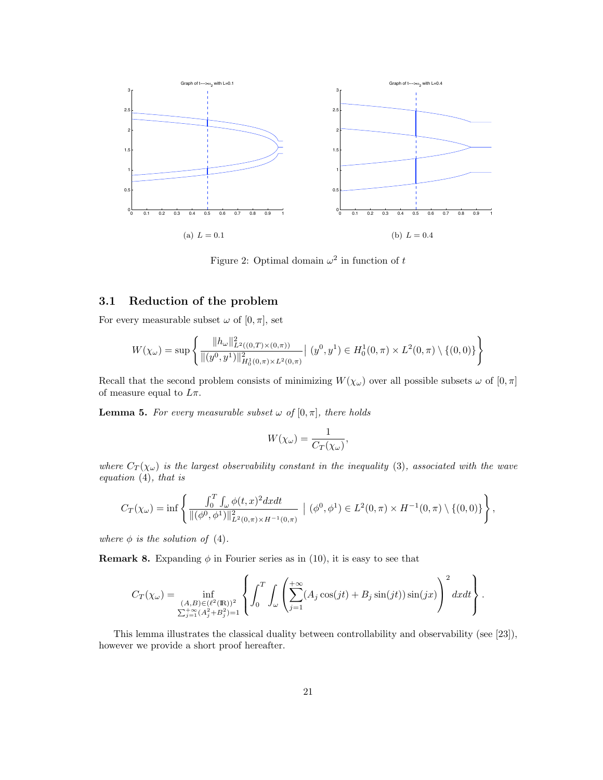

Figure 2: Optimal domain  $\omega^2$  in function of t

### 3.1 Reduction of the problem

For every measurable subset  $\omega$  of  $[0, \pi]$ , set

$$
W(\chi_{\omega}) = \sup \left\{ \frac{\|h_{\omega}\|_{L^2((0,T)\times(0,\pi))}^2}{\|(y^0, y^1)\|_{H_0^1(0,\pi)\times L^2(0,\pi)}^2} \Big| (y^0, y^1) \in H_0^1(0,\pi) \times L^2(0,\pi) \setminus \{(0,0)\} \right\}
$$

Recall that the second problem consists of minimizing  $W(\chi_{\omega})$  over all possible subsets  $\omega$  of  $[0, \pi]$ of measure equal to  $L\pi$ .

**Lemma 5.** For every measurable subset  $\omega$  of  $[0, \pi]$ , there holds

$$
W(\chi_{\omega}) = \frac{1}{C_T(\chi_{\omega})},
$$

where  $C_T(\chi_{\omega})$  is the largest observability constant in the inequality (3), associated with the wave equation (4), that is

$$
C_T(\chi_{\omega}) = \inf \left\{ \frac{\int_0^T \int_{\omega} \phi(t, x)^2 dx dt}{\|(\phi^0, \phi^1)\|_{L^2(0, \pi) \times H^{-1}(0, \pi)}^2} \ \Big| \ (\phi^0, \phi^1) \in L^2(0, \pi) \times H^{-1}(0, \pi) \setminus \{(0, 0)\} \right\},
$$

where  $\phi$  is the solution of (4).

**Remark 8.** Expanding  $\phi$  in Fourier series as in (10), it is easy to see that

$$
C_T(\chi_\omega) = \inf_{\substack{(A,B)\in(\ell^2(\mathbb{R}))^2\\ \sum_{j=1}^+\left(A_j^2+B_j^2\right)=1}} \left\{ \int_0^T\int_\omega \left( \sum_{j=1}^{+\infty} (A_j\cos(jt)+B_j\sin(jt))\sin(jx) \right)^2 dxdt \right\}.
$$

This lemma illustrates the classical duality between controllability and observability (see [23]), however we provide a short proof hereafter.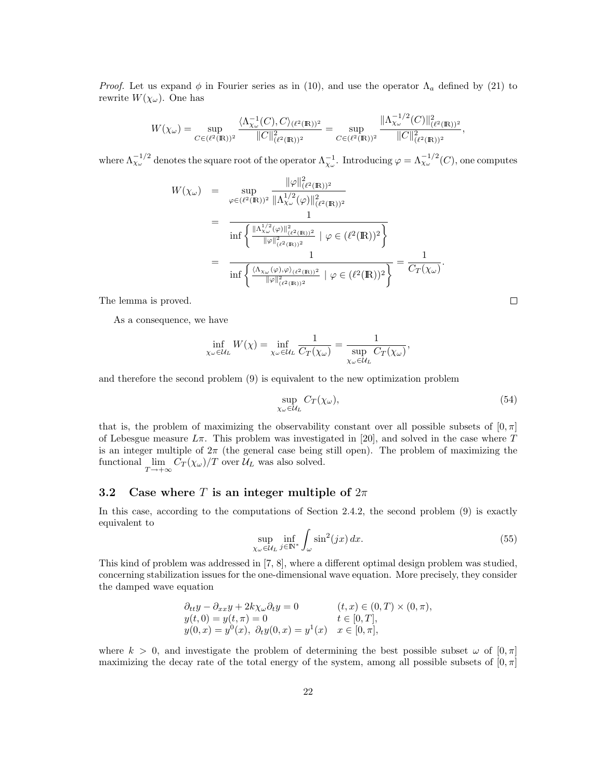*Proof.* Let us expand  $\phi$  in Fourier series as in (10), and use the operator  $\Lambda_a$  defined by (21) to rewrite  $W(\chi_{\omega})$ . One has

$$
W(\chi_{\omega}) = \sup_{C \in (\ell^2(\mathbb{R}))^2} \frac{\langle \Lambda_{\chi_{\omega}}^{-1}(C), C \rangle_{(\ell^2(\mathbb{R}))^2}}{\|C\|_{(\ell^2(\mathbb{R}))^2}^2} = \sup_{C \in (\ell^2(\mathbb{R}))^2} \frac{\|\Lambda_{\chi_{\omega}}^{-1/2}(C)\|_{(\ell^2(\mathbb{R}))^2}^2}{\|C\|_{(\ell^2(\mathbb{R}))^2}^2},
$$

where  $\Lambda_{\chi_{\omega}}^{-1/2}$  denotes the square root of the operator  $\Lambda_{\chi_{\omega}}^{-1}$ . Introducing  $\varphi = \Lambda_{\chi_{\omega}}^{-1/2}(C)$ , one computes

$$
W(\chi_{\omega}) = \sup_{\varphi \in (\ell^{2}(\mathbb{R}))^{2}} \frac{\|\varphi\|_{(\ell^{2}(\mathbb{R}))^{2}}^{2}}{\|\Lambda_{\chi_{\omega}}^{1/2}(\varphi)\|_{(\ell^{2}(\mathbb{R}))^{2}}^{2}}
$$
  
= 
$$
\frac{1}{\inf \left\{\frac{\|\Lambda_{\chi_{\omega}}^{1/2}(\varphi)\|_{(\ell^{2}(\mathbb{R}))^{2}}^{2}}{\|\varphi\|_{(\ell^{2}(\mathbb{R}))^{2}}^{2}} \mid \varphi \in (\ell^{2}(\mathbb{R}))^{2}\right\}}
$$
  
= 
$$
\frac{1}{\inf \left\{\frac{\langle \Lambda_{\chi_{\omega}}(\varphi), \varphi \rangle_{(\ell^{2}(\mathbb{R}))^{2}}}{\|\varphi\|_{(\ell^{2}(\mathbb{R}))^{2}}^{2}} \mid \varphi \in (\ell^{2}(\mathbb{R}))^{2}\right\}} = \frac{1}{C_{T}(\chi_{\omega})}.
$$

The lemma is proved.

As a consequence, we have

$$
\inf_{\chi_{\omega}\in\mathcal{U}_L} W(\chi) = \inf_{\chi_{\omega}\in\mathcal{U}_L} \frac{1}{C_T(\chi_{\omega})} = \frac{1}{\sup_{\chi_{\omega}\in\mathcal{U}_L} C_T(\chi_{\omega})},
$$

and therefore the second problem (9) is equivalent to the new optimization problem

$$
\sup_{\chi_{\omega}\in\mathcal{U}_{L}} C_{T}(\chi_{\omega}),\tag{54}
$$

that is, the problem of maximizing the observability constant over all possible subsets of  $[0, \pi]$ of Lebesgue measure  $L\pi$ . This problem was investigated in [20], and solved in the case where T is an integer multiple of  $2\pi$  (the general case being still open). The problem of maximizing the functional  $\lim_{T \to +\infty} C_T(\chi_\omega)/T$  over  $\mathcal{U}_L$  was also solved.

### 3.2 Case where T is an integer multiple of  $2\pi$

In this case, according to the computations of Section 2.4.2, the second problem (9) is exactly equivalent to

$$
\sup_{\chi_{\omega} \in \mathcal{U}_L} \inf_{j \in \mathbb{N}^*} \int_{\omega} \sin^2(jx) \, dx. \tag{55}
$$

This kind of problem was addressed in [7, 8], where a different optimal design problem was studied, concerning stabilization issues for the one-dimensional wave equation. More precisely, they consider the damped wave equation

$$
\partial_{tt}y - \partial_{xx}y + 2k\chi_{\omega}\partial_{t}y = 0 \qquad (t, x) \in (0, T) \times (0, \pi),y(t, 0) = y(t, \pi) = 0 \qquad t \in [0, T],y(0, x) = y^{0}(x), \ \partial_{t}y(0, x) = y^{1}(x) \qquad x \in [0, \pi],
$$

where  $k > 0$ , and investigate the problem of determining the best possible subset  $\omega$  of  $[0, \pi]$ maximizing the decay rate of the total energy of the system, among all possible subsets of  $[0, \pi]$ 

 $\Box$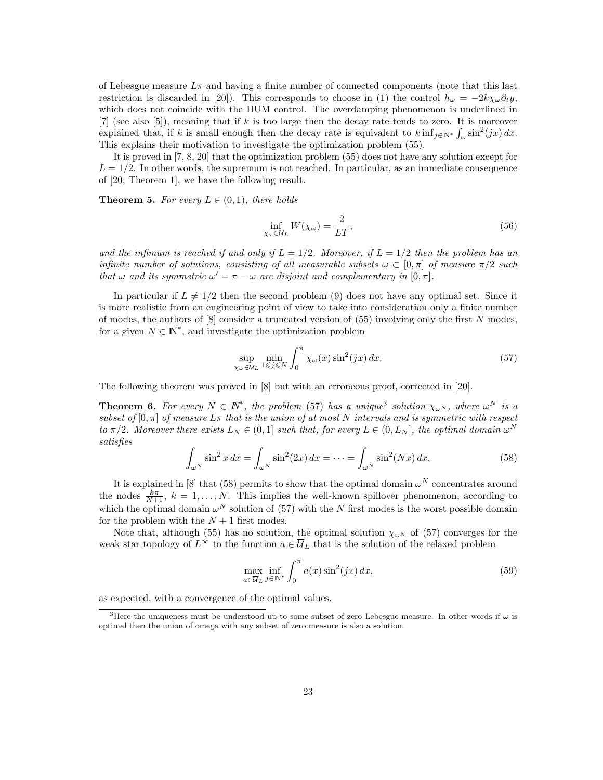of Lebesgue measure  $L\pi$  and having a finite number of connected components (note that this last restriction is discarded in [20]). This corresponds to choose in (1) the control  $h_{\omega} = -2k\chi_{\omega}\partial_t y$ , which does not coincide with the HUM control. The overdamping phenomenon is underlined in [7] (see also [5]), meaning that if k is too large then the decay rate tends to zero. It is moreover explained that, if k is small enough then the decay rate is equivalent to  $k \inf_{j \in \mathbb{N}^*} \int_{\omega} \sin^2(jx) dx$ . This explains their motivation to investigate the optimization problem (55).

It is proved in [7, 8, 20] that the optimization problem (55) does not have any solution except for  $L = 1/2$ . In other words, the supremum is not reached. In particular, as an immediate consequence of [20, Theorem 1], we have the following result.

**Theorem 5.** For every  $L \in (0,1)$ , there holds

$$
\inf_{\chi_{\omega}\in\mathcal{U}_{L}} W(\chi_{\omega}) = \frac{2}{LT},\tag{56}
$$

and the infimum is reached if and only if  $L = 1/2$ . Moreover, if  $L = 1/2$  then the problem has an infinite number of solutions, consisting of all measurable subsets  $\omega \subset [0, \pi]$  of measure  $\pi/2$  such that  $\omega$  and its symmetric  $\omega' = \pi - \omega$  are disjoint and complementary in [0,  $\pi$ ].

In particular if  $L \neq 1/2$  then the second problem (9) does not have any optimal set. Since it is more realistic from an engineering point of view to take into consideration only a finite number of modes, the authors of  $[8]$  consider a truncated version of  $(55)$  involving only the first N modes, for a given  $N \in \mathbb{N}^*$ , and investigate the optimization problem

$$
\sup_{\chi_{\omega}\in\mathcal{U}_{L}}\min_{1\leqslant j\leqslant N}\int_{0}^{\pi}\chi_{\omega}(x)\sin^{2}(jx)\,dx.\tag{57}
$$

The following theorem was proved in [8] but with an erroneous proof, corrected in [20].

**Theorem 6.** For every  $N \in \mathbb{N}^*$ , the problem (57) has a unique<sup>3</sup> solution  $\chi_{\omega^N}$ , where  $\omega^N$  is a subset of  $[0, \pi]$  of measure  $L\pi$  that is the union of at most N intervals and is symmetric with respect to  $\pi/2$ . Moreover there exists  $L_N \in (0,1]$  such that, for every  $L \in (0, L_N]$ , the optimal domain  $\omega^N$ satisfies

$$
\int_{\omega^N} \sin^2 x \, dx = \int_{\omega^N} \sin^2(2x) \, dx = \dots = \int_{\omega^N} \sin^2(Nx) \, dx. \tag{58}
$$

It is explained in [8] that (58) permits to show that the optimal domain  $\omega^N$  concentrates around the nodes  $\frac{k\pi}{N+1}$ ,  $k = 1, ..., N$ . This implies the well-known spillover phenomenon, according to which the optimal domain  $\omega^N$  solution of (57) with the N first modes is the worst possible domain for the problem with the  $N+1$  first modes.

Note that, although (55) has no solution, the optimal solution  $\chi_{\omega N}$  of (57) converges for the weak star topology of  $L^{\infty}$  to the function  $a \in \overline{\mathcal{U}}_L$  that is the solution of the relaxed problem

$$
\max_{a \in \overline{U}_L} \inf_{j \in \mathbb{N}^*} \int_0^\pi a(x) \sin^2(jx) \, dx,\tag{59}
$$

as expected, with a convergence of the optimal values.

<sup>&</sup>lt;sup>3</sup>Here the uniqueness must be understood up to some subset of zero Lebesgue measure. In other words if  $\omega$  is optimal then the union of omega with any subset of zero measure is also a solution.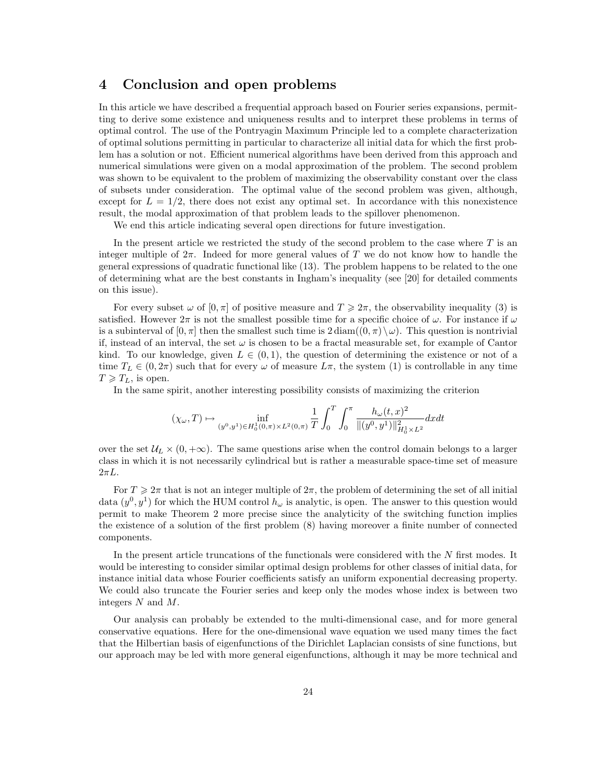# 4 Conclusion and open problems

In this article we have described a frequential approach based on Fourier series expansions, permitting to derive some existence and uniqueness results and to interpret these problems in terms of optimal control. The use of the Pontryagin Maximum Principle led to a complete characterization of optimal solutions permitting in particular to characterize all initial data for which the first problem has a solution or not. Efficient numerical algorithms have been derived from this approach and numerical simulations were given on a modal approximation of the problem. The second problem was shown to be equivalent to the problem of maximizing the observability constant over the class of subsets under consideration. The optimal value of the second problem was given, although, except for  $L = 1/2$ , there does not exist any optimal set. In accordance with this nonexistence result, the modal approximation of that problem leads to the spillover phenomenon.

We end this article indicating several open directions for future investigation.

In the present article we restricted the study of the second problem to the case where  $T$  is an integer multiple of  $2\pi$ . Indeed for more general values of T we do not know how to handle the general expressions of quadratic functional like (13). The problem happens to be related to the one of determining what are the best constants in Ingham's inequality (see [20] for detailed comments on this issue).

For every subset  $\omega$  of  $[0, \pi]$  of positive measure and  $T \geq 2\pi$ , the observability inequality (3) is satisfied. However  $2\pi$  is not the smallest possible time for a specific choice of  $\omega$ . For instance if  $\omega$ is a subinterval of  $[0, \pi]$  then the smallest such time is  $2 \text{diam}((0, \pi) \setminus \omega)$ . This question is nontrivial if, instead of an interval, the set  $\omega$  is chosen to be a fractal measurable set, for example of Cantor kind. To our knowledge, given  $L \in (0,1)$ , the question of determining the existence or not of a time  $T_L \in (0, 2\pi)$  such that for every  $\omega$  of measure  $L\pi$ , the system (1) is controllable in any time  $T \geqslant T_L$ , is open.

In the same spirit, another interesting possibility consists of maximizing the criterion

$$
(\chi_\omega, T) \mapsto \inf_{(y^0, y^1) \in H_0^1(0, \pi) \times L^2(0, \pi)} \frac{1}{T} \int_0^T \int_0^\pi \frac{h_\omega(t, x)^2}{\|(y^0, y^1)\|_{H_0^1 \times L^2}^2} dx dt
$$

over the set  $U_L \times (0, +\infty)$ . The same questions arise when the control domain belongs to a larger class in which it is not necessarily cylindrical but is rather a measurable space-time set of measure  $2\pi L$ .

For  $T \geq 2\pi$  that is not an integer multiple of  $2\pi$ , the problem of determining the set of all initial data  $(y^0, y^1)$  for which the HUM control  $h_\omega$  is analytic, is open. The answer to this question would permit to make Theorem 2 more precise since the analyticity of the switching function implies the existence of a solution of the first problem (8) having moreover a finite number of connected components.

In the present article truncations of the functionals were considered with the N first modes. It would be interesting to consider similar optimal design problems for other classes of initial data, for instance initial data whose Fourier coefficients satisfy an uniform exponential decreasing property. We could also truncate the Fourier series and keep only the modes whose index is between two integers N and M.

Our analysis can probably be extended to the multi-dimensional case, and for more general conservative equations. Here for the one-dimensional wave equation we used many times the fact that the Hilbertian basis of eigenfunctions of the Dirichlet Laplacian consists of sine functions, but our approach may be led with more general eigenfunctions, although it may be more technical and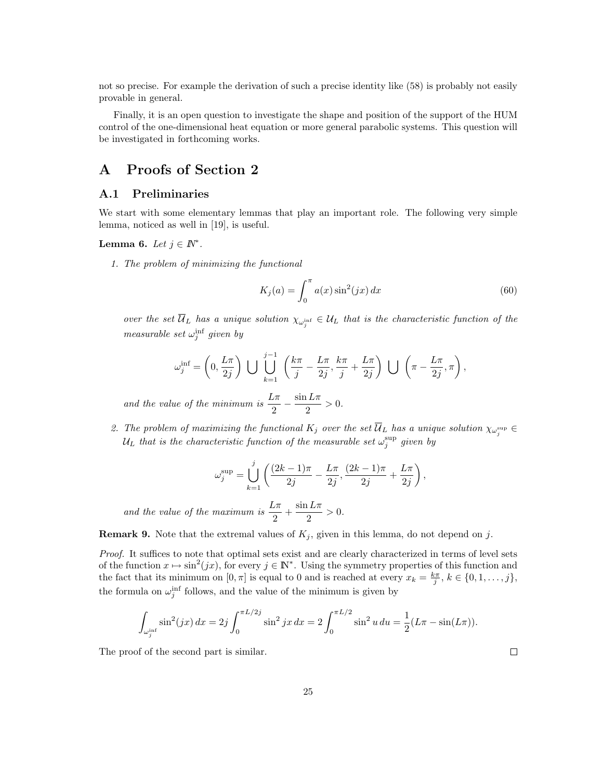not so precise. For example the derivation of such a precise identity like (58) is probably not easily provable in general.

Finally, it is an open question to investigate the shape and position of the support of the HUM control of the one-dimensional heat equation or more general parabolic systems. This question will be investigated in forthcoming works.

# A Proofs of Section 2

### A.1 Preliminaries

We start with some elementary lemmas that play an important role. The following very simple lemma, noticed as well in [19], is useful.

### Lemma 6. Let  $j \in \mathbb{N}^*$ .

1. The problem of minimizing the functional

$$
K_j(a) = \int_0^\pi a(x) \sin^2(jx) dx \tag{60}
$$

over the set  $\mathcal{U}_L$  has a unique solution  $\chi_{\omega_j^{\text{inf}}} \in \mathcal{U}_L$  that is the characteristic function of the measurable set  $\omega_j^{\text{inf}}$  given by

$$
\omega_j^{\text{inf}} = \left(0, \frac{L\pi}{2j}\right) \bigcup \bigcup_{k=1}^{j-1} \left(\frac{k\pi}{j} - \frac{L\pi}{2j}, \frac{k\pi}{j} + \frac{L\pi}{2j}\right) \bigcup \left(\pi - \frac{L\pi}{2j}, \pi\right),
$$

and the value of the minimum is  $\frac{L\pi}{2} - \frac{\sin L\pi}{2}$  $\frac{12\pi}{2} > 0.$ 

2. The problem of maximizing the functional  $K_j$  over the set  $U_L$  has a unique solution  $\chi_{\omega_j^{\sup}} \in$  $\mathcal{U}_L$  that is the characteristic function of the measurable set  $\omega_j^{\sup}$  given by

$$
\omega_j^{\sup}=\bigcup_{k=1}^j\left(\frac{(2k-1)\pi}{2j}-\frac{L\pi}{2j},\frac{(2k-1)\pi}{2j}+\frac{L\pi}{2j}\right),
$$

and the value of the maximum is  $\frac{L\pi}{2} + \frac{\sin L\pi}{2}$  $\frac{2^{n}}{2} > 0.$ 

**Remark 9.** Note that the extremal values of  $K_j$ , given in this lemma, do not depend on j.

Proof. It suffices to note that optimal sets exist and are clearly characterized in terms of level sets of the function  $x \mapsto \sin^2(jx)$ , for every  $j \in \mathbb{N}^*$ . Using the symmetry properties of this function and the fact that its minimum on  $[0, \pi]$  is equal to 0 and is reached at every  $x_k = \frac{k\pi}{j}, k \in \{0, 1, \ldots, j\},\$ the formula on  $\omega_j^{\text{inf}}$  follows, and the value of the minimum is given by

$$
\int_{\omega_j^{\text{inf}}} \sin^2(jx) \, dx = 2j \int_0^{\pi L/2j} \sin^2 jx \, dx = 2 \int_0^{\pi L/2} \sin^2 u \, du = \frac{1}{2} (L\pi - \sin(L\pi)).
$$

The proof of the second part is similar.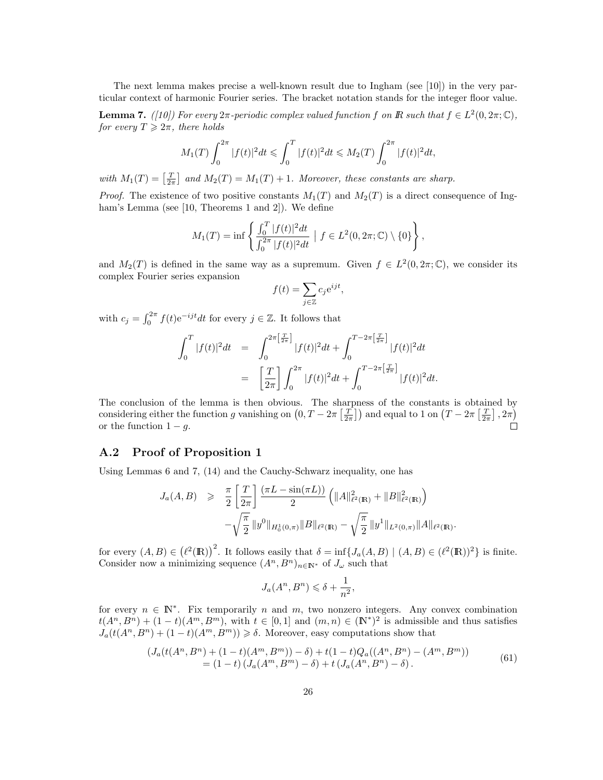The next lemma makes precise a well-known result due to Ingham (see [10]) in the very particular context of harmonic Fourier series. The bracket notation stands for the integer floor value.

**Lemma 7.** ([10]) For every  $2\pi$ -periodic complex valued function f on  $\mathbb{R}$  such that  $f \in L^2(0, 2\pi; \mathbb{C})$ , for every  $T \geq 2\pi$ , there holds

$$
M_1(T)\int_0^{2\pi}|f(t)|^2dt\leqslant \int_0^T|f(t)|^2dt\leqslant M_2(T)\int_0^{2\pi}|f(t)|^2dt,
$$

with  $M_1(T) = \left[\frac{T}{2\pi}\right]$  and  $M_2(T) = M_1(T) + 1$ . Moreover, these constants are sharp.

*Proof.* The existence of two positive constants  $M_1(T)$  and  $M_2(T)$  is a direct consequence of Ingham's Lemma (see [10, Theorems 1 and 2]). We define

$$
M_1(T) = \inf \left\{ \frac{\int_0^T |f(t)|^2 dt}{\int_0^{2\pi} |f(t)|^2 dt} \mid f \in L^2(0, 2\pi; \mathbb{C}) \setminus \{0\} \right\},\
$$

and  $M_2(T)$  is defined in the same way as a supremum. Given  $f \in L^2(0, 2\pi; \mathbb{C})$ , we consider its complex Fourier series expansion

$$
f(t) = \sum_{j \in \mathbb{Z}} c_j e^{ijt},
$$

with  $c_j = \int_0^{2\pi} f(t) e^{-ijt} dt$  for every  $j \in \mathbb{Z}$ . It follows that

$$
\int_0^T |f(t)|^2 dt = \int_0^{2\pi \left[\frac{T}{2\pi}\right]} |f(t)|^2 dt + \int_0^{T-2\pi \left[\frac{T}{2\pi}\right]} |f(t)|^2 dt
$$
  

$$
= \left[\frac{T}{2\pi}\right] \int_0^{2\pi} |f(t)|^2 dt + \int_0^{T-2\pi \left[\frac{T}{2\pi}\right]} |f(t)|^2 dt.
$$

The conclusion of the lemma is then obvious. The sharpness of the constants is obtained by considering either the function g vanishing on  $(0, T - 2\pi \left[\frac{T}{2\pi}\right])$  and equal to 1 on  $(T - 2\pi \left[\frac{T}{2\pi}\right], 2\pi)$ or the function  $1 - g$ .

### A.2 Proof of Proposition 1

Using Lemmas 6 and 7, (14) and the Cauchy-Schwarz inequality, one has

$$
J_a(A, B) \geq \frac{\pi}{2} \left[ \frac{T}{2\pi} \right] \frac{(\pi L - \sin(\pi L))}{2} \left( \|A\|_{\ell^2(\mathbb{R})}^2 + \|B\|_{\ell^2(\mathbb{R})}^2 \right) - \sqrt{\frac{\pi}{2}} \|y^0\|_{H_0^1(0, \pi)} \|B\|_{\ell^2(\mathbb{R})} - \sqrt{\frac{\pi}{2}} \|y^1\|_{L^2(0, \pi)} \|A\|_{\ell^2(\mathbb{R})}.
$$

for every  $(A, B) \in (\ell^2(\mathbb{R}))^2$ . It follows easily that  $\delta = \inf\{J_a(A, B) \mid (A, B) \in (\ell^2(\mathbb{R}))^2\}$  is finite. Consider now a minimizing sequence  $(A^n, B^n)_{n \in \mathbb{N}^*}$  of  $J_\omega$  such that

$$
J_a(A^n, B^n) \leq \delta + \frac{1}{n^2},
$$

for every  $n \in \mathbb{N}^*$ . Fix temporarily n and m, two nonzero integers. Any convex combination  $t(A^n, B^n) + (1-t)(A^m, B^m)$ , with  $t \in [0,1]$  and  $(m, n) \in (\mathbb{N}^*)^2$  is admissible and thus satisfies  $J_a(t(A^n, B^n) + (1-t)(A^m, B^m)) \geq \delta$ . Moreover, easy computations show that

$$
(J_a(t(A^n, B^n) + (1-t)(A^m, B^m)) - \delta) + t(1-t)Q_a((A^n, B^n) - (A^m, B^m))
$$
  
= (1-t) (J\_a(A^m, B^m) - \delta) + t (J\_a(A^n, B^n) - \delta). (61)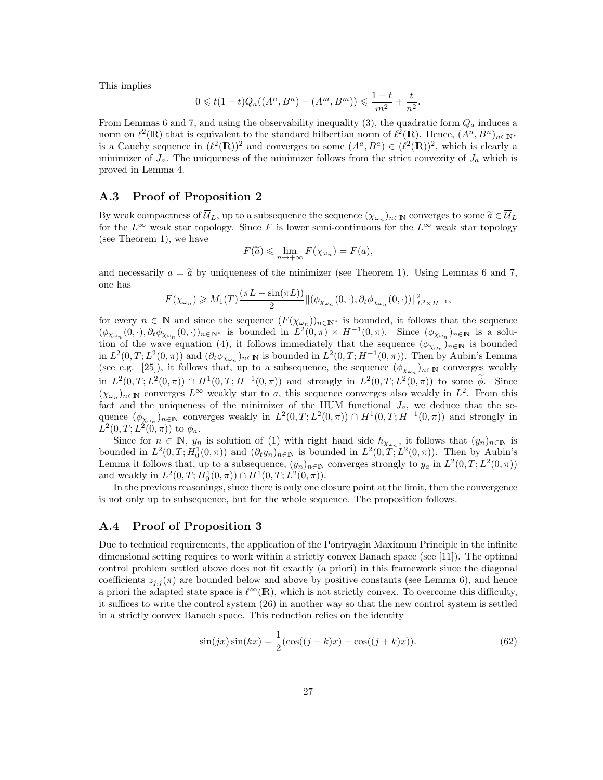This implies

$$
0 \leq t(1-t)Q_a((A^n, B^n) - (A^m, B^m)) \leq \frac{1-t}{m^2} + \frac{t}{n^2}.
$$

From Lemmas 6 and 7, and using the observability inequality (3), the quadratic form  $Q_a$  induces a norm on  $\ell^2(\mathbb{R})$  that is equivalent to the standard hilbertian norm of  $\ell^2(\mathbb{R})$ . Hence,  $(A^n, B^n)_{n\in\mathbb{N}^*}$ is a Cauchy sequence in  $(\ell^2(\mathbb{R}))^2$  and converges to some  $(A^a, B^a) \in (\ell^2(\mathbb{R}))^2$ , which is clearly a minimizer of  $J_a$ . The uniqueness of the minimizer follows from the strict convexity of  $J_a$  which is proved in Lemma 4.

### A.3 Proof of Proposition 2

By weak compactness of  $\overline{\mathcal{U}}_L$ , up to a subsequence the sequence  $(\chi_{\omega_n})_{n \in \mathbb{N}}$  converges to some  $\widetilde{a} \in \overline{\mathcal{U}}_L$ <br>for the  $L^{\infty}$  weak star topology. Since  $F$  is lower somi continuous for the  $L^{\infty}$  for the  $L^{\infty}$  weak star topology. Since F is lower semi-continuous for the  $L^{\infty}$  weak star topology (see Theorem 1), we have

$$
F(\widetilde{a}) \leqslant \lim_{n \to +\infty} F(\chi_{\omega_n}) = F(a),
$$

and necessarily  $a = \tilde{a}$  by uniqueness of the minimizer (see Theorem 1). Using Lemmas 6 and 7, one has

$$
F(\chi_{\omega_n}) \geq M_1(T) \frac{(\pi L - \sin(\pi L))}{2} ||(\phi_{\chi_{\omega_n}}(0,\cdot), \partial_t \phi_{\chi_{\omega_n}}(0,\cdot))||^2_{L^2 \times H^{-1}},
$$

for every  $n \in \mathbb{N}$  and since the sequence  $(F(\chi_{\omega_n}))_{n \in \mathbb{N}^*}$  is bounded, it follows that the sequence  $(\phi_{\chi_{\omega_n}}(0,\cdot),\partial_t \phi_{\chi_{\omega_n}}(0,\cdot))_{n\in\mathbb{N}^*}$  is bounded in  $L^2(0,\pi)\times H^{-1}(0,\pi)$ . Since  $(\phi_{\chi_{\omega_n}})_{n\in\mathbb{N}}$  is a solution of the wave equation (4), it follows immediately that the sequence  $(\phi_{\chi_{\omega_n}})_{n\in\mathbb{N}}$  is bounded in  $L^2(0,T;L^2(0,\pi))$  and  $(\partial_t \phi_{\chi_{\omega_n}})_{n\in\mathbb{N}}$  is bounded in  $L^2(0,T;H^{-1}(0,\pi))$ . Then by Aubin's Lemma (see e.g. [25]), it follows that, up to a subsequence, the sequence  $(\phi_{\chi_{\omega_n}})_{n\in\mathbb{N}}$  converges weakly in  $L^2(0,T;L^2(0,\pi)) \cap H^1(0,T;H^{-1}(0,\pi))$  and strongly in  $L^2(0,T;L^2(0,\pi))$  to some  $\phi$ . Since  $(\chi_{\omega_n})_{n\in\mathbb{N}}$  converges  $L^{\infty}$  weakly star to a, this sequence converges also weakly in  $L^2$ . From this fact and the uniqueness of the minimizer of the HUM functional  $J_a$ , we deduce that the sequence  $(\phi_{\chi_{\omega_n}})_{n \in \mathbb{N}}$  converges weakly in  $L^2(0,T; L^2(0,\pi)) \cap H^1(0,T; H^{-1}(0,\pi))$  and strongly in  $L^2(0,T;L^2(0,\pi))$  to  $\phi_a$ .

Since for  $n \in \mathbb{N}$ ,  $y_n$  is solution of (1) with right hand side  $h_{\chi_{\omega_n}}$ , it follows that  $(y_n)_{n\in\mathbb{N}}$  is bounded in  $L^2(0,T; H_0^1(0,\pi))$  and  $(\partial_t y_n)_{n\in\mathbb{N}}$  is bounded in  $L^2(0,T; L^2(0,\pi))$ . Then by Aubin's Lemma it follows that, up to a subsequence,  $(y_n)_{n\in\mathbb{N}}$  converges strongly to  $y_a$  in  $L^2(0,T;L^2(0,\pi))$ and weakly in  $L^2(0,T; H_0^1(0,\pi)) \cap H^1(0,T; L^2(0,\pi))$ .

In the previous reasonings, since there is only one closure point at the limit, then the convergence is not only up to subsequence, but for the whole sequence. The proposition follows.

### A.4 Proof of Proposition 3

Due to technical requirements, the application of the Pontryagin Maximum Principle in the infinite dimensional setting requires to work within a strictly convex Banach space (see [11]). The optimal control problem settled above does not fit exactly (a priori) in this framework since the diagonal coefficients  $z_{j,i}(\pi)$  are bounded below and above by positive constants (see Lemma 6), and hence a priori the adapted state space is  $\ell^{\infty}(\mathbb{R})$ , which is not strictly convex. To overcome this difficulty, it suffices to write the control system (26) in another way so that the new control system is settled in a strictly convex Banach space. This reduction relies on the identity

$$
\sin(jx)\sin(kx) = \frac{1}{2}(\cos((j-k)x) - \cos((j+k)x)).
$$
\n(62)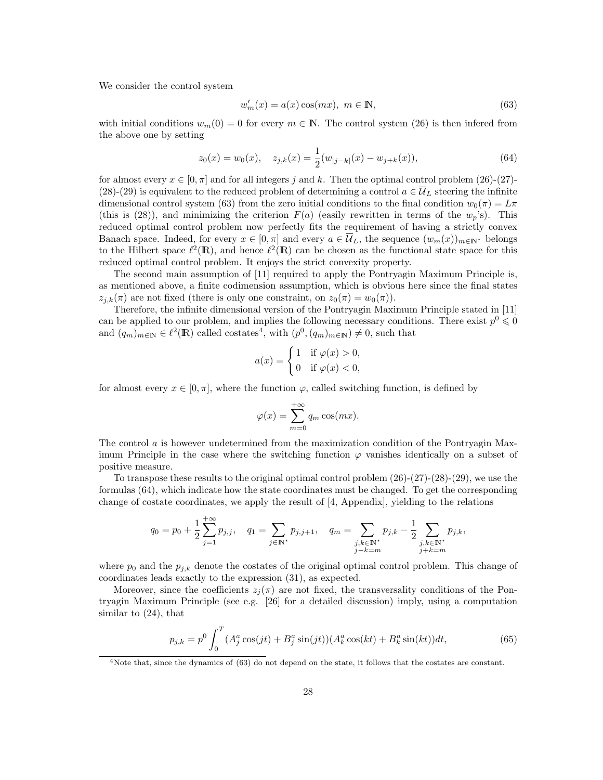We consider the control system

$$
w'_m(x) = a(x)\cos(mx), \ m \in \mathbb{N},\tag{63}
$$

with initial conditions  $w_m(0) = 0$  for every  $m \in \mathbb{N}$ . The control system (26) is then infered from the above one by setting

$$
z_0(x) = w_0(x), \quad z_{j,k}(x) = \frac{1}{2}(w_{|j-k|}(x) - w_{j+k}(x)), \tag{64}
$$

for almost every  $x \in [0, \pi]$  and for all integers j and k. Then the optimal control problem (26)-(27)-(28)-(29) is equivalent to the reduced problem of determining a control  $a \in \mathcal{U}_L$  steering the infinite dimensional control system (63) from the zero initial conditions to the final condition  $w_0(\pi) = L\pi$ (this is (28)), and minimizing the criterion  $F(a)$  (easily rewritten in terms of the  $w_p$ 's). This reduced optimal control problem now perfectly fits the requirement of having a strictly convex Banach space. Indeed, for every  $x \in [0, \pi]$  and every  $a \in \overline{\mathcal{U}}_L$ , the sequence  $(w_m(x))_{m \in \mathbb{N}^*}$  belongs to the Hilbert space  $\ell^2(\mathbb{R})$ , and hence  $\ell^2(\mathbb{R})$  can be chosen as the functional state space for this reduced optimal control problem. It enjoys the strict convexity property.

The second main assumption of [11] required to apply the Pontryagin Maximum Principle is, as mentioned above, a finite codimension assumption, which is obvious here since the final states  $z_{i,k}(\pi)$  are not fixed (there is only one constraint, on  $z_0(\pi) = w_0(\pi)$ ).

Therefore, the infinite dimensional version of the Pontryagin Maximum Principle stated in [11] can be applied to our problem, and implies the following necessary conditions. There exist  $p^0 \leq 0$ and  $(q_m)_{m \in \mathbb{N}} \in \ell^2(\mathbb{R})$  called costates<sup>4</sup>, with  $(p^0, (q_m)_{m \in \mathbb{N}}) \neq 0$ , such that

$$
a(x) = \begin{cases} 1 & \text{if } \varphi(x) > 0, \\ 0 & \text{if } \varphi(x) < 0, \end{cases}
$$

for almost every  $x \in [0, \pi]$ , where the function  $\varphi$ , called switching function, is defined by

$$
\varphi(x) = \sum_{m=0}^{+\infty} q_m \cos(mx).
$$

The control  $\alpha$  is however undetermined from the maximization condition of the Pontryagin Maximum Principle in the case where the switching function  $\varphi$  vanishes identically on a subset of positive measure.

To transpose these results to the original optimal control problem (26)-(27)-(28)-(29), we use the formulas (64), which indicate how the state coordinates must be changed. To get the corresponding change of costate coordinates, we apply the result of [4, Appendix], yielding to the relations

$$
q_0 = p_0 + \frac{1}{2} \sum_{j=1}^{+\infty} p_{j,j}, \quad q_1 = \sum_{j \in \mathbb{N}^*} p_{j,j+1}, \quad q_m = \sum_{\substack{j,k \in \mathbb{N}^* \\ j-k=m}} p_{j,k} - \frac{1}{2} \sum_{\substack{j,k \in \mathbb{N}^* \\ j+k=m}} p_{j,k},
$$

 $+ \infty$ 

where  $p_0$  and the  $p_{j,k}$  denote the costates of the original optimal control problem. This change of coordinates leads exactly to the expression (31), as expected.

Moreover, since the coefficients  $z_j(\pi)$  are not fixed, the transversality conditions of the Pontryagin Maximum Principle (see e.g. [26] for a detailed discussion) imply, using a computation similar to (24), that

$$
p_{j,k} = p^0 \int_0^T (A_j^a \cos(jt) + B_j^a \sin(jt)) (A_k^a \cos(kt) + B_k^a \sin(kt)) dt,
$$
\n(65)

<sup>&</sup>lt;sup>4</sup>Note that, since the dynamics of (63) do not depend on the state, it follows that the costates are constant.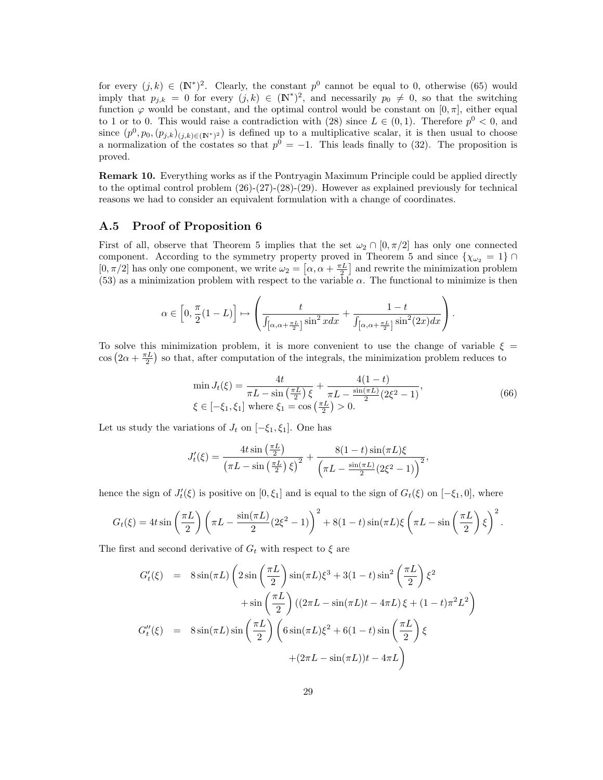for every  $(j,k) \in (\mathbb{N}^*)^2$ . Clearly, the constant  $p^0$  cannot be equal to 0, otherwise (65) would imply that  $p_{j,k} = 0$  for every  $(j,k) \in (\mathbb{N}^*)^2$ , and necessarily  $p_0 \neq 0$ , so that the switching function  $\varphi$  would be constant, and the optimal control would be constant on  $[0, \pi]$ , either equal to 1 or to 0. This would raise a contradiction with (28) since  $L \in (0,1)$ . Therefore  $p^0 < 0$ , and since  $(p^0, p_0, (p_{j,k})_{(j,k)\in(\mathbb{N}^*)^2})$  is defined up to a multiplicative scalar, it is then usual to choose a normalization of the costates so that  $p^0 = -1$ . This leads finally to (32). The proposition is proved.

Remark 10. Everything works as if the Pontryagin Maximum Principle could be applied directly to the optimal control problem (26)-(27)-(28)-(29). However as explained previously for technical reasons we had to consider an equivalent formulation with a change of coordinates.

### A.5 Proof of Proposition 6

First of all, observe that Theorem 5 implies that the set  $\omega_2 \cap [0, \pi/2]$  has only one connected component. According to the symmetry property proved in Theorem 5 and since  $\{\chi_{\omega_2} = 1\} \cap$  $[0, \pi/2]$  has only one component, we write  $\omega_2 = [\alpha, \alpha + \frac{\pi L}{2}]$  and rewrite the minimization problem (53) as a minimization problem with respect to the variable  $\alpha$ . The functional to minimize is then

$$
\alpha \in \left[0, \frac{\pi}{2}(1-L)\right] \mapsto \left(\frac{t}{\int_{\left[\alpha, \alpha+\frac{\pi L}{2}\right]} \sin^2 x dx} + \frac{1-t}{\int_{\left[\alpha, \alpha+\frac{\pi L}{2}\right]} \sin^2(2x) dx}\right).
$$

To solve this minimization problem, it is more convenient to use the change of variable  $\xi =$  $\cos\left(2\alpha + \frac{\pi L}{2}\right)$  so that, after computation of the integrals, the minimization problem reduces to

$$
\min J_t(\xi) = \frac{4t}{\pi L - \sin\left(\frac{\pi L}{2}\right)\xi} + \frac{4(1-t)}{\pi L - \frac{\sin(\pi L)}{2}(2\xi^2 - 1)},
$$
\n
$$
\xi \in [-\xi_1, \xi_1] \text{ where } \xi_1 = \cos\left(\frac{\pi L}{2}\right) > 0.
$$
\n(66)

Let us study the variations of  $J_t$  on  $[-\xi_1, \xi_1]$ . One has

$$
J'_{t}(\xi) = \frac{4t \sin\left(\frac{\pi L}{2}\right)}{\left(\pi L - \sin\left(\frac{\pi L}{2}\right)\xi\right)^2} + \frac{8(1-t) \sin(\pi L)\xi}{\left(\pi L - \frac{\sin(\pi L)}{2}(2\xi^2 - 1)\right)^2},
$$

hence the sign of  $J'_t(\xi)$  is positive on  $[0,\xi_1]$  and is equal to the sign of  $G_t(\xi)$  on  $[-\xi_1,0]$ , where

$$
G_t(\xi) = 4t \sin\left(\frac{\pi L}{2}\right) \left(\pi L - \frac{\sin(\pi L)}{2} (2\xi^2 - 1)\right)^2 + 8(1 - t)\sin(\pi L)\xi \left(\pi L - \sin\left(\frac{\pi L}{2}\right)\xi\right)^2.
$$

The first and second derivative of  $G_t$  with respect to  $\xi$  are

$$
G'_{t}(\xi) = 8 \sin(\pi L) \left( 2 \sin\left(\frac{\pi L}{2}\right) \sin(\pi L) \xi^{3} + 3(1-t) \sin^{2}\left(\frac{\pi L}{2}\right) \xi^{2} + \sin\left(\frac{\pi L}{2}\right) \left( (2\pi L - \sin(\pi L)t - 4\pi L) \xi + (1-t)\pi^{2} L^{2} \right) \right)
$$
  

$$
G''_{t}(\xi) = 8 \sin(\pi L) \sin\left(\frac{\pi L}{2}\right) \left( 6 \sin(\pi L) \xi^{2} + 6(1-t) \sin\left(\frac{\pi L}{2}\right) \xi + (2\pi L - \sin(\pi L))t - 4\pi L \right)
$$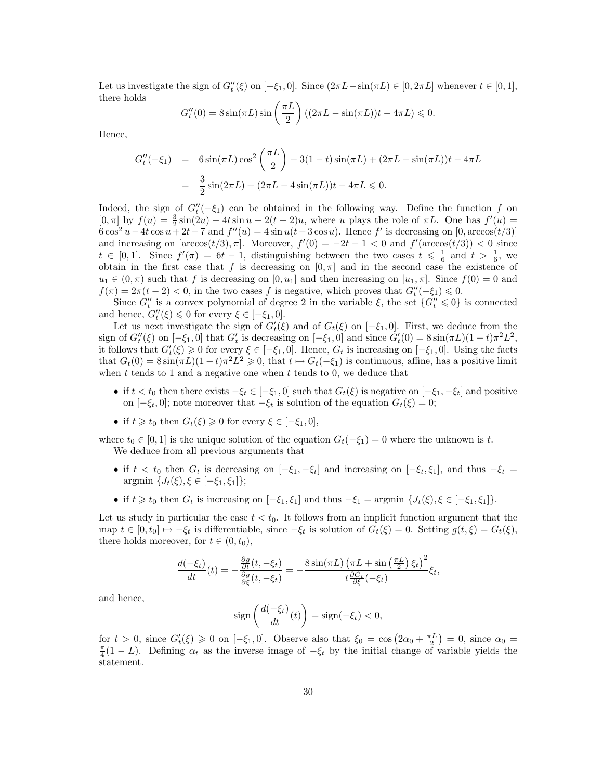Let us investigate the sign of  $G_t''(\xi)$  on  $[-\xi_1, 0]$ . Since  $(2\pi L - \sin(\pi L) \in [0, 2\pi L]$  whenever  $t \in [0, 1]$ , there holds

$$
G_t''(0) = 8\sin(\pi L)\sin\left(\frac{\pi L}{2}\right) \left( (2\pi L - \sin(\pi L))t - 4\pi L \right) \leq 0.
$$

Hence,

$$
G''_t(-\xi_1) = 6\sin(\pi L)\cos^2\left(\frac{\pi L}{2}\right) - 3(1-t)\sin(\pi L) + (2\pi L - \sin(\pi L))t - 4\pi L
$$
  
=  $\frac{3}{2}\sin(2\pi L) + (2\pi L - 4\sin(\pi L))t - 4\pi L \le 0.$ 

Indeed, the sign of  $G''_t(-\xi_1)$  can be obtained in the following way. Define the function f on  $[0, \pi]$  by  $f(u) = \frac{3}{2}\sin(2u) - 4t\sin u + 2(t-2)u$ , where u plays the role of  $\pi L$ . One has  $f'(u) =$  $6\cos^2 u - 4t\cos u + 2t - 7$  and  $f''(u) = 4\sin u(t-3\cos u)$ . Hence f' is decreasing on  $[0, \arccos(t/3)]$ and increasing on  $[\arccos(t/3), \pi]$ . Moreover,  $f'(0) = -2t - 1 < 0$  and  $f'(\arccos(t/3)) < 0$  since  $t \in [0,1].$  Since  $f'(\pi) = 6t - 1$ , distinguishing between the two cases  $t \leq \frac{1}{6}$  and  $t > \frac{1}{6}$ , we obtain in the first case that f is decreasing on  $[0, \pi]$  and in the second case the existence of  $u_1 \in (0, \pi)$  such that f is decreasing on  $[0, u_1]$  and then increasing on  $[u_1, \pi]$ . Since  $f(0) = 0$  and  $f(\pi) = 2\pi(t-2) < 0$ , in the two cases f is negative, which proves that  $G_t''(-\xi_1) \leq 0$ .

Since  $G''_t$  is a convex polynomial of degree 2 in the variable  $\xi$ , the set  $\{G''_t \leq 0\}$  is connected and hence,  $G''_t(\xi) \leq 0$  for every  $\xi \in [-\xi_1, 0].$ 

Let us next investigate the sign of  $G'_{t}(\xi)$  and of  $G_{t}(\xi)$  on  $[-\xi_{1},0]$ . First, we deduce from the sign of  $G_t''(\xi)$  on  $[-\xi_1, 0]$  that  $G_t'$  is decreasing on  $[-\xi_1, 0]$  and since  $G_t'(0) = 8 \sin(\pi L)(1-t)\pi^2 L^2$ , it follows that  $G'_{t}(\xi) \geq 0$  for every  $\xi \in [-\xi_1, 0]$ . Hence,  $G_t$  is increasing on  $[-\xi_1, 0]$ . Using the facts that  $G_t(0) = 8 \sin(\pi L)(1-t)\pi^2 L^2 \geq 0$ , that  $t \mapsto G_t(-\xi_1)$  is continuous, affine, has a positive limit when  $t$  tends to 1 and a negative one when  $t$  tends to 0, we deduce that

- if  $t < t_0$  then there exists  $-\xi_t \in [-\xi_1, 0]$  such that  $G_t(\xi)$  is negative on  $[-\xi_1, -\xi_t]$  and positive on  $[-\xi_t, 0]$ ; note moreover that  $-\xi_t$  is solution of the equation  $G_t(\xi) = 0$ ;
- if  $t \geq t_0$  then  $G_t(\xi) \geq 0$  for every  $\xi \in [-\xi_1, 0],$

where  $t_0 \in [0, 1]$  is the unique solution of the equation  $G_t(-\xi_1) = 0$  where the unknown is t. We deduce from all previous arguments that

- if  $t < t_0$  then  $G_t$  is decreasing on  $[-\xi_1, -\xi_t]$  and increasing on  $[-\xi_t, \xi_1]$ , and thus  $-\xi_t =$  $\argmin \{J_t(\xi), \xi \in [-\xi_1, \xi_1]\};$
- if  $t \geq t_0$  then  $G_t$  is increasing on  $[-\xi_1, \xi_1]$  and thus  $-\xi_1 = \arg\min \{J_t(\xi), \xi \in [-\xi_1, \xi_1]\}.$

Let us study in particular the case  $t < t_0$ . It follows from an implicit function argument that the map  $t \in [0, t_0] \mapsto -\xi_t$  is differentiable, since  $-\xi_t$  is solution of  $G_t(\xi) = 0$ . Setting  $g(t, \xi) = G_t(\xi)$ , there holds moreover, for  $t \in (0, t_0)$ ,

$$
\frac{d(-\xi_t)}{dt}(t) = -\frac{\frac{\partial g}{\partial t}(t, -\xi_t)}{\frac{\partial g}{\partial \xi}(t, -\xi_t)} = -\frac{8\sin(\pi L)\left(\pi L + \sin\left(\frac{\pi L}{2}\right)\xi_t\right)^2}{t\frac{\partial G_t}{\partial \xi}(-\xi_t)}\xi_t,
$$

and hence,

$$
sign\left(\frac{d(-\xi_t)}{dt}(t)\right) = sign(-\xi_t) < 0,
$$

for  $t > 0$ , since  $G'_t(\xi) \geq 0$  on  $[-\xi_1, 0]$ . Observe also that  $\xi_0 = \cos(2\alpha_0 + \frac{\pi L}{2}) = 0$ , since  $\alpha_0 =$  $\frac{\pi}{4}(1-L)$ . Defining  $\alpha_t$  as the inverse image of  $-\xi_t$  by the initial change of variable yields the statement.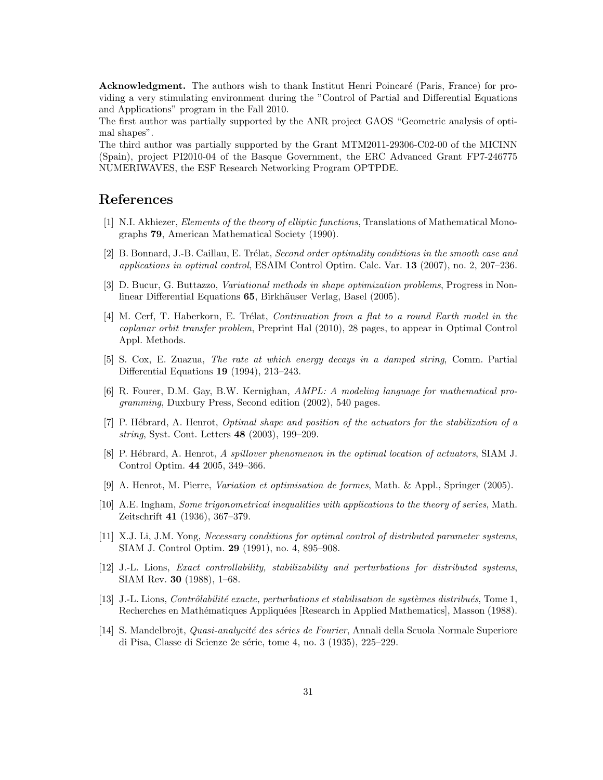Acknowledgment. The authors wish to thank Institut Henri Poincaré (Paris, France) for providing a very stimulating environment during the "Control of Partial and Differential Equations and Applications" program in the Fall 2010.

The first author was partially supported by the ANR project GAOS "Geometric analysis of optimal shapes".

The third author was partially supported by the Grant MTM2011-29306-C02-00 of the MICINN (Spain), project PI2010-04 of the Basque Government, the ERC Advanced Grant FP7-246775 NUMERIWAVES, the ESF Research Networking Program OPTPDE.

# References

- [1] N.I. Akhiezer, Elements of the theory of elliptic functions, Translations of Mathematical Monographs 79, American Mathematical Society (1990).
- [2] B. Bonnard, J.-B. Caillau, E. Trélat, Second order optimality conditions in the smooth case and applications in optimal control, ESAIM Control Optim. Calc. Var. 13 (2007), no. 2, 207–236.
- [3] D. Bucur, G. Buttazzo, Variational methods in shape optimization problems, Progress in Nonlinear Differential Equations 65, Birkhäuser Verlag, Basel (2005).
- [4] M. Cerf, T. Haberkorn, E. Trélat, *Continuation from a flat to a round Earth model in the* coplanar orbit transfer problem, Preprint Hal (2010), 28 pages, to appear in Optimal Control Appl. Methods.
- [5] S. Cox, E. Zuazua, The rate at which energy decays in a damped string, Comm. Partial Differential Equations 19 (1994), 213–243.
- [6] R. Fourer, D.M. Gay, B.W. Kernighan, AMPL: A modeling language for mathematical programming, Duxbury Press, Second edition (2002), 540 pages.
- [7] P. Hébrard, A. Henrot, *Optimal shape and position of the actuators for the stabilization of a* string, Syst. Cont. Letters 48 (2003), 199–209.
- [8] P. Hébrard, A. Henrot, A spillover phenomenon in the optimal location of actuators, SIAM J. Control Optim. 44 2005, 349–366.
- [9] A. Henrot, M. Pierre, Variation et optimisation de formes, Math. & Appl., Springer (2005).
- [10] A.E. Ingham, Some trigonometrical inequalities with applications to the theory of series, Math. Zeitschrift 41 (1936), 367–379.
- [11] X.J. Li, J.M. Yong, Necessary conditions for optimal control of distributed parameter systems, SIAM J. Control Optim. 29 (1991), no. 4, 895–908.
- [12] J.-L. Lions, Exact controllability, stabilizability and perturbations for distributed systems, SIAM Rev. 30 (1988), 1–68.
- [13] J.-L. Lions, *Contrôlabilité exacte, perturbations et stabilisation de systèmes distribués*, Tome 1, Recherches en Mathématiques Appliquées [Research in Applied Mathematics], Masson (1988).
- [14] S. Mandelbrojt, *Quasi-analycité des séries de Fourier*, Annali della Scuola Normale Superiore di Pisa, Classe di Scienze 2e série, tome 4, no. 3 (1935), 225–229.